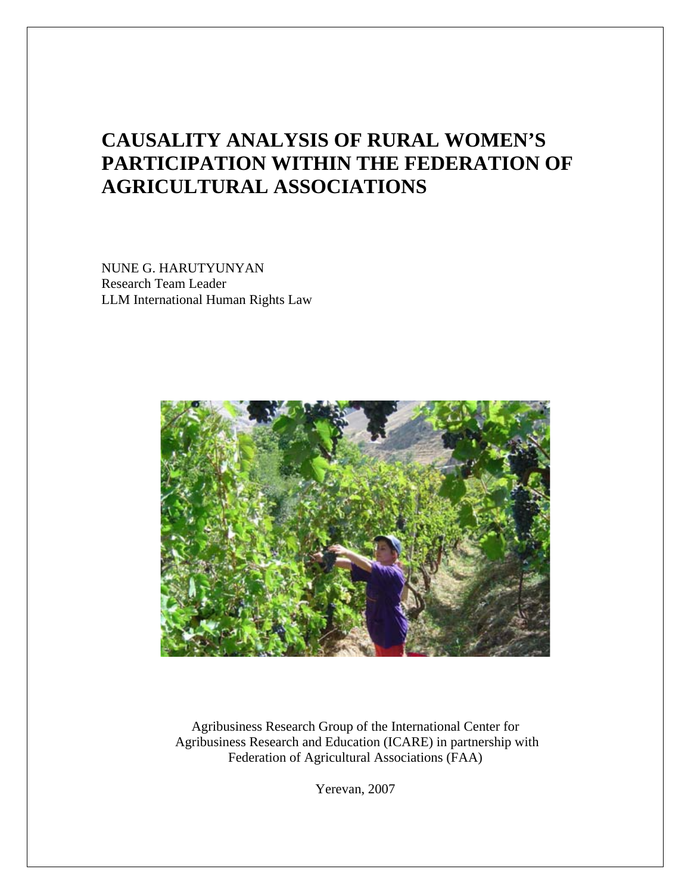## **CAUSALITY ANALYSIS OF RURAL WOMEN'S PARTICIPATION WITHIN THE FEDERATION OF AGRICULTURAL ASSOCIATIONS**

NUNE G. HARUTYUNYAN Research Team Leader LLM International Human Rights Law



Agribusiness Research Group of the International Center for Agribusiness Research and Education (ICARE) in partnership with Federation of Agricultural Associations (FAA)

Yerevan, 2007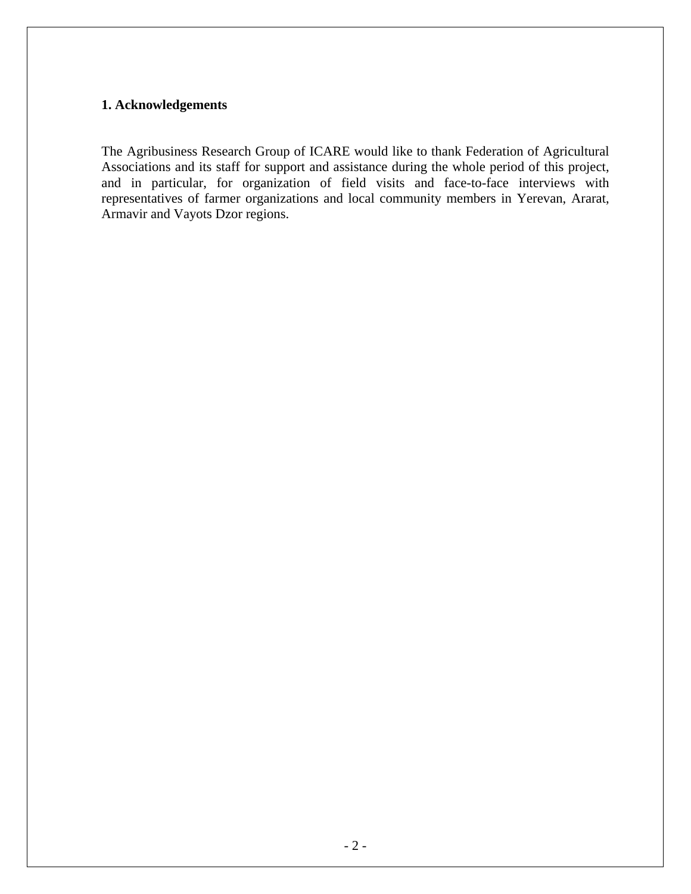#### **1. Acknowledgements**

The Agribusiness Research Group of ICARE would like to thank Federation of Agricultural Associations and its staff for support and assistance during the whole period of this project, and in particular, for organization of field visits and face-to-face interviews with representatives of farmer organizations and local community members in Yerevan, Ararat, Armavir and Vayots Dzor regions.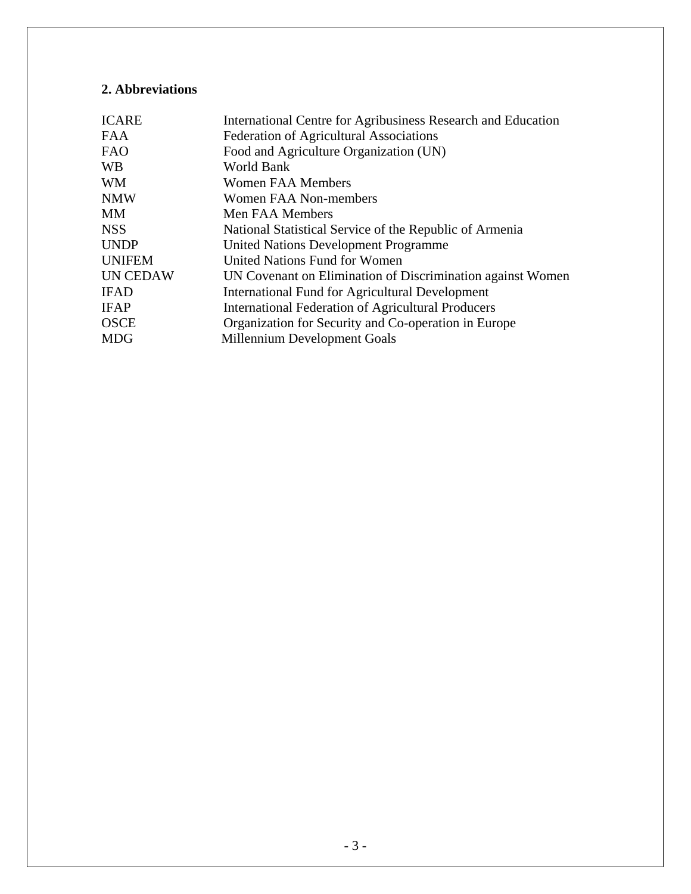## **2. Abbreviations**

| International Centre for Agribusiness Research and Education |
|--------------------------------------------------------------|
| <b>Federation of Agricultural Associations</b>               |
| Food and Agriculture Organization (UN)                       |
| World Bank                                                   |
| <b>Women FAA Members</b>                                     |
| Women FAA Non-members                                        |
| Men FAA Members                                              |
| National Statistical Service of the Republic of Armenia      |
| <b>United Nations Development Programme</b>                  |
| United Nations Fund for Women                                |
| UN Covenant on Elimination of Discrimination against Women   |
| <b>International Fund for Agricultural Development</b>       |
| International Federation of Agricultural Producers           |
| Organization for Security and Co-operation in Europe         |
| Millennium Development Goals                                 |
|                                                              |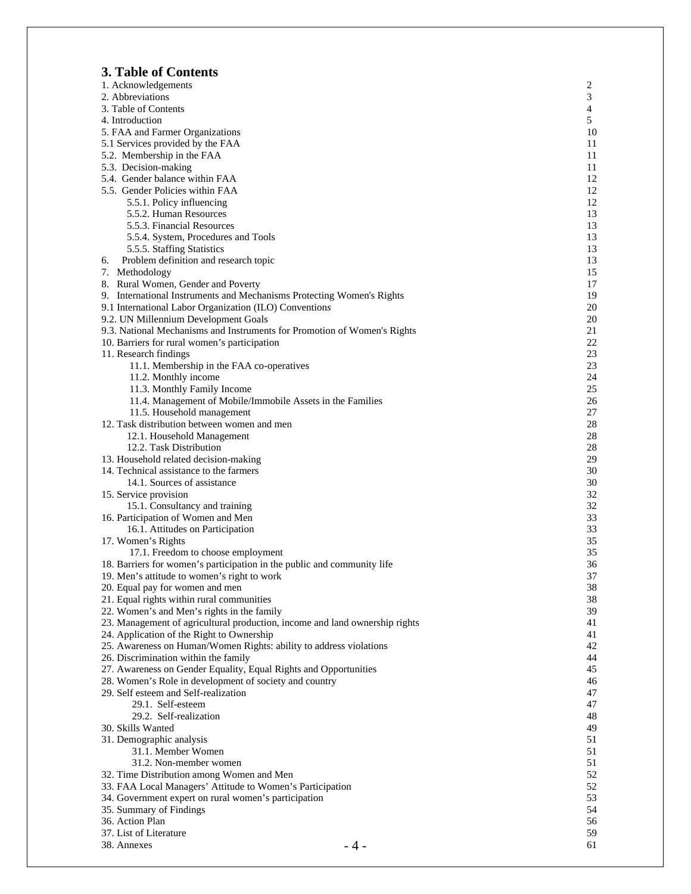## **3. Table of Contents**

| J. TADIU VI COMUNIS                                                         |                |
|-----------------------------------------------------------------------------|----------------|
| 1. Acknowledgements                                                         | 2              |
| 2. Abbreviations                                                            | 3              |
| 3. Table of Contents                                                        | $\overline{4}$ |
| 4. Introduction                                                             | 5              |
| 5. FAA and Farmer Organizations                                             | 10             |
| 5.1 Services provided by the FAA                                            | 11             |
|                                                                             |                |
| 5.2. Membership in the FAA                                                  | 11             |
| 5.3. Decision-making                                                        | 11             |
| 5.4. Gender balance within FAA                                              | 12             |
| 5.5. Gender Policies within FAA                                             | 12             |
| 5.5.1. Policy influencing                                                   | 12             |
| 5.5.2. Human Resources                                                      | 13             |
| 5.5.3. Financial Resources                                                  | 13             |
|                                                                             |                |
| 5.5.4. System, Procedures and Tools                                         | 13             |
| 5.5.5. Staffing Statistics                                                  | 13             |
| Problem definition and research topic<br>6.                                 | 13             |
| 7. Methodology                                                              | 15             |
| 8. Rural Women, Gender and Poverty                                          | 17             |
| 9. International Instruments and Mechanisms Protecting Women's Rights       | 19             |
| 9.1 International Labor Organization (ILO) Conventions                      | 20             |
|                                                                             |                |
| 9.2. UN Millennium Development Goals                                        | 20             |
| 9.3. National Mechanisms and Instruments for Promotion of Women's Rights    | 21             |
| 10. Barriers for rural women's participation                                | 22             |
| 11. Research findings                                                       | 23             |
| 11.1. Membership in the FAA co-operatives                                   | 23             |
| 11.2. Monthly income                                                        | 24             |
| 11.3. Monthly Family Income                                                 | 25             |
|                                                                             |                |
| 11.4. Management of Mobile/Immobile Assets in the Families                  | 26             |
| 11.5. Household management                                                  | 27             |
| 12. Task distribution between women and men                                 | 28             |
| 12.1. Household Management                                                  | 28             |
| 12.2. Task Distribution                                                     | 28             |
| 13. Household related decision-making                                       | 29             |
| 14. Technical assistance to the farmers                                     | 30             |
| 14.1. Sources of assistance                                                 |                |
|                                                                             | 30             |
| 15. Service provision                                                       | 32             |
| 15.1. Consultancy and training                                              | 32             |
| 16. Participation of Women and Men                                          | 33             |
| 16.1. Attitudes on Participation                                            | 33             |
| 17. Women's Rights                                                          | 35             |
| 17.1. Freedom to choose employment                                          | 35             |
|                                                                             | 36             |
| 18. Barriers for women's participation in the public and community life     |                |
| 19. Men's attitude to women's right to work                                 | 37             |
| 20. Equal pay for women and men                                             | 38             |
| 21. Equal rights within rural communities                                   | 38             |
| 22. Women's and Men's rights in the family                                  | 39             |
| 23. Management of agricultural production, income and land ownership rights | 41             |
| 24. Application of the Right to Ownership                                   | 41             |
| 25. Awareness on Human/Women Rights: ability to address violations          | 42             |
|                                                                             |                |
| 26. Discrimination within the family                                        | 44             |
| 27. Awareness on Gender Equality, Equal Rights and Opportunities            | 45             |
| 28. Women's Role in development of society and country                      | 46             |
| 29. Self esteem and Self-realization                                        | 47             |
| 29.1. Self-esteem                                                           | 47             |
| 29.2. Self-realization                                                      | 48             |
|                                                                             |                |
| 30. Skills Wanted                                                           | 49             |
| 31. Demographic analysis                                                    | 51             |
| 31.1. Member Women                                                          | 51             |
| 31.2. Non-member women                                                      | 51             |
| 32. Time Distribution among Women and Men                                   | 52             |
| 33. FAA Local Managers' Attitude to Women's Participation                   | 52             |
| 34. Government expert on rural women's participation                        | 53             |
|                                                                             |                |
| 35. Summary of Findings                                                     | 54             |
| 36. Action Plan                                                             | 56             |
| 37. List of Literature                                                      | 59             |
| 38. Annexes                                                                 | 61<br>- 4 -    |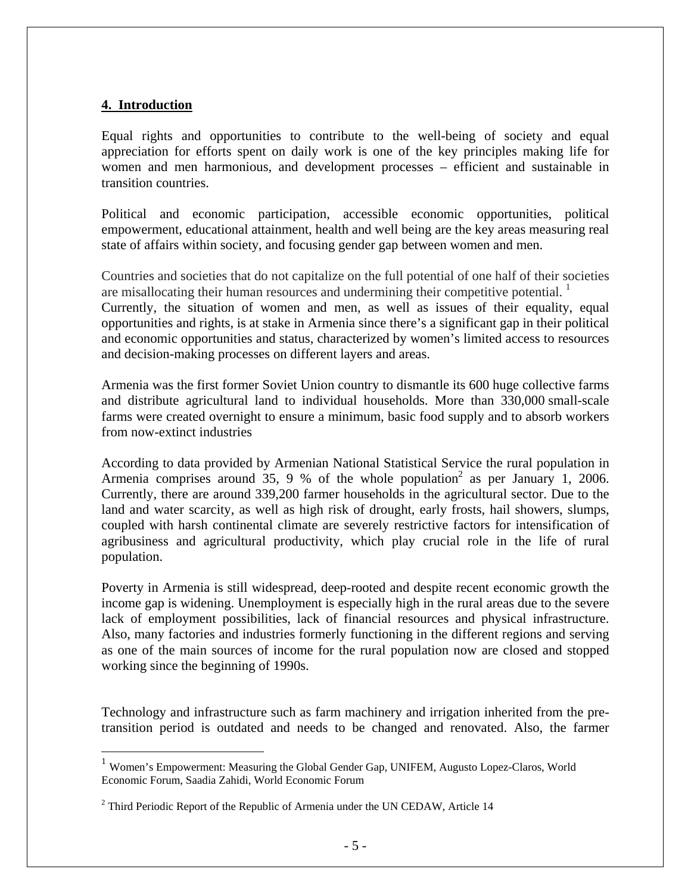#### **4. Introduction**

 $\overline{a}$ 

Equal rights and opportunities to contribute to the well-being of society and equal appreciation for efforts spent on daily work is one of the key principles making life for women and men harmonious, and development processes – efficient and sustainable in transition countries.

Political and economic participation, accessible economic opportunities, political empowerment, educational attainment, health and well being are the key areas measuring real state of affairs within society, and focusing gender gap between women and men.

Countries and societies that do not capitalize on the full potential of one half of their societies are misallocating their human resources and undermining their competitive potential.  $\frac{1}{1}$  $\frac{1}{1}$  $\frac{1}{1}$ 

Currently, the situation of women and men, as well as issues of their equality, equal opportunities and rights, is at stake in Armenia since there's a significant gap in their political and economic opportunities and status, characterized by women's limited access to resources and decision-making processes on different layers and areas.

Armenia was the first former Soviet Union country to dismantle its 600 huge collective farms and distribute agricultural land to individual households. More than 330,000 small-scale farms were created overnight to ensure a minimum, basic food supply and to absorb workers from now-extinct industries

According to data provided by Armenian National Statistical Service the rural population in Armenia comprises around  $35, 9 %$  of the whole population<sup>[2](#page-4-1)</sup> as per January 1, 2006. Currently, there are around 339,200 farmer households in the agricultural sector. Due to the land and water scarcity, as well as high risk of drought, early frosts, hail showers, slumps, coupled with harsh continental climate are severely restrictive factors for intensification of agribusiness and agricultural productivity, which play crucial role in the life of rural population.

Poverty in Armenia is still widespread, deep-rooted and despite recent economic growth the income gap is widening. Unemployment is especially high in the rural areas due to the severe lack of employment possibilities, lack of financial resources and physical infrastructure. Also, many factories and industries formerly functioning in the different regions and serving as one of the main sources of income for the rural population now are closed and stopped working since the beginning of 1990s.

Technology and infrastructure such as farm machinery and irrigation inherited from the pretransition period is outdated and needs to be changed and renovated. Also, the farmer

<span id="page-4-0"></span><sup>&</sup>lt;sup>1</sup> Women's Empowerment: Measuring the Global Gender Gap, UNIFEM, Augusto Lopez-Claros, World Economic Forum, Saadia Zahidi, World Economic Forum

<span id="page-4-1"></span><sup>&</sup>lt;sup>2</sup> Third Periodic Report of the Republic of Armenia under the UN CEDAW, Article 14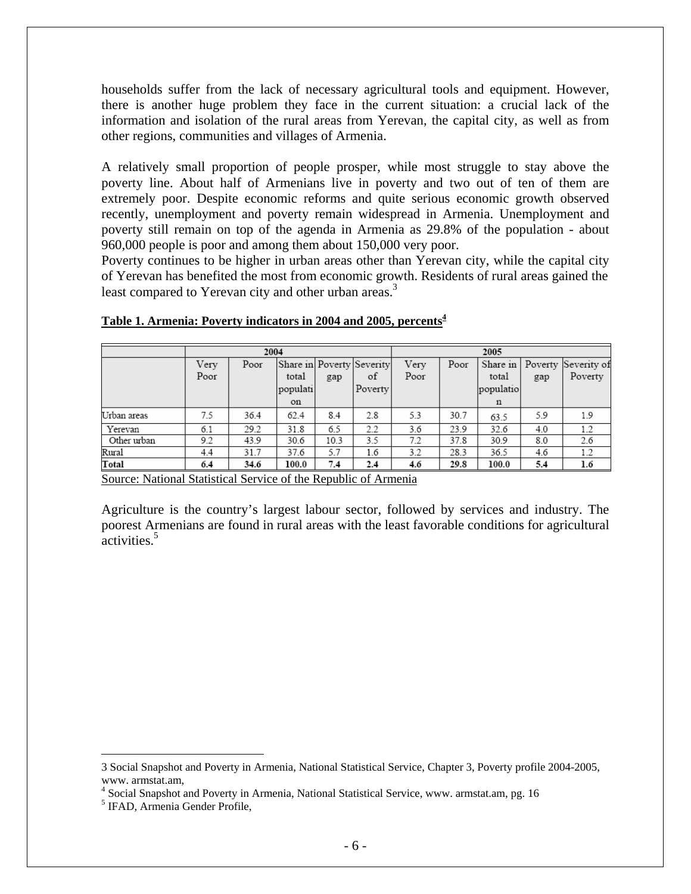households suffer from the lack of necessary agricultural tools and equipment. However, there is another huge problem they face in the current situation: a crucial lack of the information and isolation of the rural areas from Yerevan, the capital city, as well as from other regions, communities and villages of Armenia.

A relatively small proportion of people prosper, while most struggle to stay above the poverty line. About half of Armenians live in poverty and two out of ten of them are extremely poor. Despite economic reforms and quite serious economic growth observed recently, unemployment and poverty remain widespread in Armenia. Unemployment and poverty still remain on top of the agenda in Armenia as 29.8% of the population - about 960,000 people is poor and among them about 150,000 very poor.

Poverty continues to be higher in urban areas other than Yerevan city, while the capital city of Yerevan has benefited the most from economic growth. Residents of rural areas gained the least compared to Yerevan city and other urban areas.<sup>3</sup>

|             | 2004         |      |                         |      | 2005                                       |              |      |                         |     |                                         |
|-------------|--------------|------|-------------------------|------|--------------------------------------------|--------------|------|-------------------------|-----|-----------------------------------------|
|             | Very<br>Poor | Poor | total<br>populati<br>on | gap  | Share in Poverty Severity<br>οf<br>Poverty | Verv<br>Poor | Poor | total<br>populatio<br>n | gap | Share in Poverty Severity of<br>Poverty |
| Urban areas | 7.5          | 36.4 | 62.4                    | 8.4  | 2.8                                        | 5.3          | 30.7 | 63.5                    | 5.9 | 1.9                                     |
| Yerevan     | 6.1          | 29.2 | 31.8                    | 6.5  | 2.2                                        | 3.6          | 23.9 | 32.6                    | 4.0 | 1.2                                     |
| Other urban | 9.2          | 43.9 | 30.6                    | 10.3 | 3.5                                        | 7.2          | 37.8 | 30.9                    | 8.0 | 2.6                                     |
| Rural       | 4.4          | 31.7 | 37.6                    | 5.7  | 1.6                                        | 3.2          | 28.3 | 36.5                    | 4.6 | 1.2                                     |
| Total       | 6.4          | 34.6 | 100.0                   | 7.4  | 2.4                                        | 4.6          | 29.8 | 100.0                   | 5.4 | $1.6\,$                                 |

**Table 1. Armenia: Poverty indicators in 2004 and 2005, percent[s4](#page-5-1)**

Source: National Statistical Service of the Republic of Armenia

Agriculture is the country's largest labour sector, followed by services and industry. The poorest Armenians are found in rural areas with the least favorable conditions for agricultural activities.<sup>[5](#page-5-2)</sup>

 $\overline{a}$ 

<span id="page-5-0"></span><sup>3</sup> Social Snapshot and Poverty in Armenia, National Statistical Service, Chapter 3, Poverty profile 2004-2005, www. armstat.am, 4

<span id="page-5-1"></span><sup>&</sup>lt;sup>4</sup> Social Snapshot and Poverty in Armenia, National Statistical Service, www. armstat.am, pg. 16

<span id="page-5-2"></span><sup>5</sup> IFAD, Armenia Gender Profile,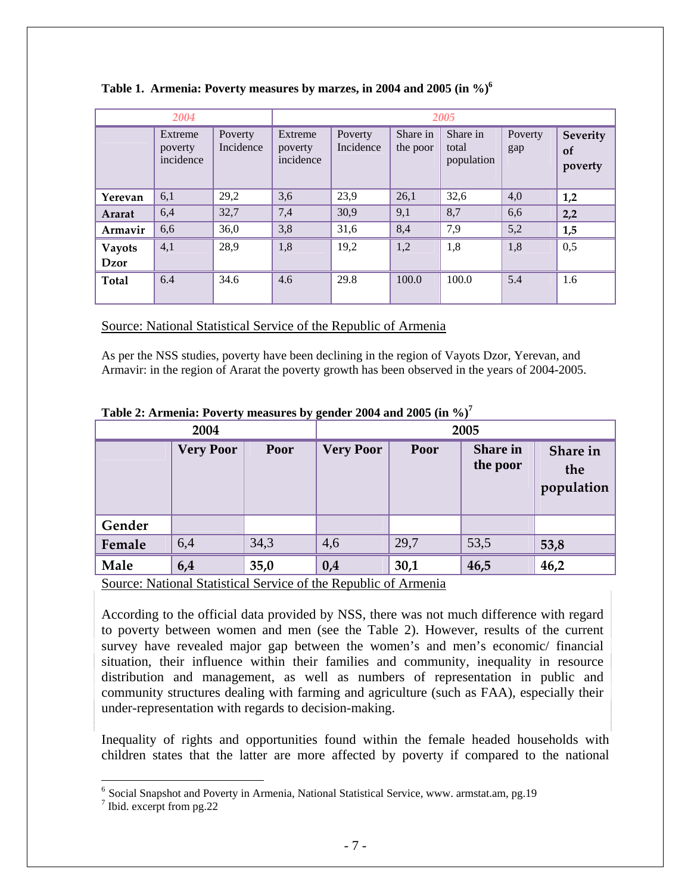|                       | 2004                            |                      | 2005                            |                      |                      |                                 |                |                           |
|-----------------------|---------------------------------|----------------------|---------------------------------|----------------------|----------------------|---------------------------------|----------------|---------------------------|
|                       | Extreme<br>poverty<br>incidence | Poverty<br>Incidence | Extreme<br>poverty<br>incidence | Poverty<br>Incidence | Share in<br>the poor | Share in<br>total<br>population | Poverty<br>gap | Severity<br>of<br>poverty |
| Yerevan               | 6,1                             | 29,2                 | 3,6                             | 23,9                 | 26,1                 | 32,6                            | 4,0            | 1,2                       |
| Ararat                | 6,4                             | 32,7                 | 7,4                             | 30,9                 | 9,1                  | 8,7                             | 6,6            | 2,2                       |
| Armavir               | 6,6                             | 36,0                 | 3,8                             | 31,6                 | 8,4                  | 7,9                             | 5,2            | 1,5                       |
| <b>Vayots</b><br>Dzor | 4,1                             | 28,9                 | 1,8                             | 19,2                 | 1,2                  | 1,8                             | 1,8            | 0,5                       |
|                       |                                 |                      |                                 |                      |                      |                                 |                |                           |
| <b>Total</b>          | 6.4                             | 34.6                 | 4.6                             | 29.8                 | 100.0                | 100.0                           | 5.4            | 1.6                       |

|  | Table 1. Armenia: Poverty measures by marzes, in 2004 and 2005 (in %) <sup>6</sup> |  |  |  |  |  |  |  |  |
|--|------------------------------------------------------------------------------------|--|--|--|--|--|--|--|--|
|--|------------------------------------------------------------------------------------|--|--|--|--|--|--|--|--|

Source: National Statistical Service of the Republic of Armenia

As per the NSS studies, poverty have been declining in the region of Vayots Dzor, Yerevan, and Armavir: in the region of Ararat the poverty growth has been observed in the years of 2004-2005.

| 2004   |                  |      |                  |      | 2005                        |                               |
|--------|------------------|------|------------------|------|-----------------------------|-------------------------------|
|        | <b>Very Poor</b> | Poor | <b>Very Poor</b> | Poor | <b>Share in</b><br>the poor | Share in<br>the<br>population |
| Gender |                  |      |                  |      |                             |                               |
| Female | 6,4              | 34,3 | 4,6              | 29,7 | 53,5                        | 53,8                          |
| Male   | 6,4              | 35,0 | 0,4              | 30,1 | 46,5                        | 46,2                          |

**Table 2: Armenia: Poverty measures by gender 2004 and 2005 (in %)[7](#page-6-1)**

Source: National Statistical Service of the Republic of Armenia

According to the official data provided by NSS, there was not much difference with regard to poverty between women and men (see the Table 2). However, results of the current survey have revealed major gap between the women's and men's economic/ financial situation, their influence within their families and community, inequality in resource distribution and management, as well as numbers of representation in public and community structures dealing with farming and agriculture (such as FAA), especially their under-representation with regards to decision-making.

Inequality of rights and opportunities found within the female headed households with children states that the latter are more affected by poverty if compared to the national

 $\overline{a}$ 

<span id="page-6-0"></span><sup>&</sup>lt;sup>6</sup> Social Snapshot and Poverty in Armenia, National Statistical Service, www. armstat.am, pg.19

<span id="page-6-1"></span><sup>&</sup>lt;sup>7</sup> Ibid. excerpt from pg.22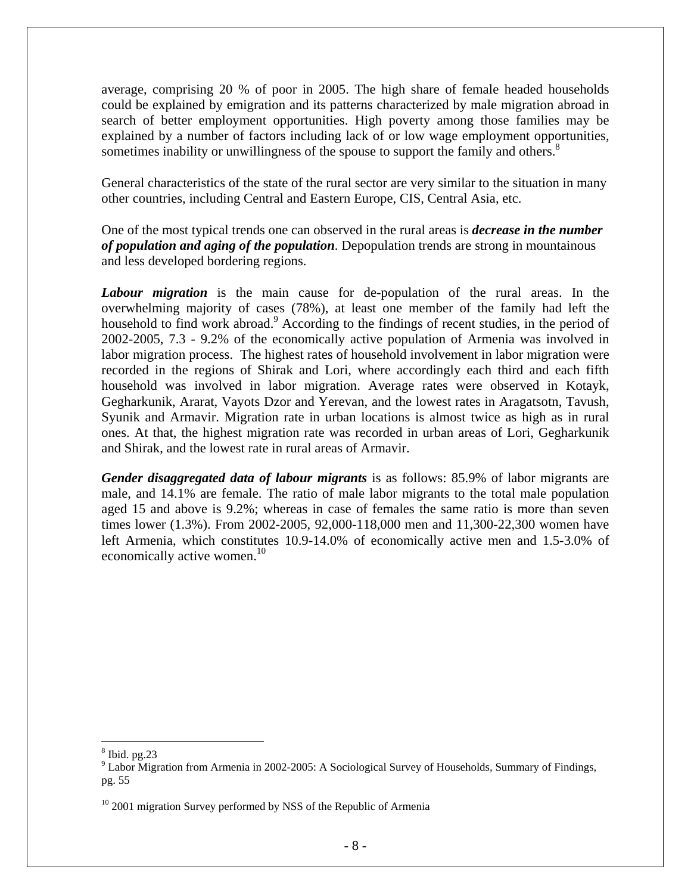average, comprising 20 % of poor in 2005. The high share of female headed households could be explained by emigration and its patterns characterized by male migration abroad in search of better employment opportunities. High poverty among those families may be explained by a number of factors including lack of or low wage employment opportunities, sometimes inability or unwillingness of the spouse to support the family and others.<sup>[8](#page-7-0)</sup>

General characteristics of the state of the rural sector are very similar to the situation in many other countries, including Central and Eastern Europe, CIS, Central Asia, etc.

One of the most typical trends one can observed in the rural areas is *decrease in the number of population and aging of the population*. Depopulation trends are strong in mountainous and less developed bordering regions.

*Labour migration* is the main cause for de-population of the rural areas. In the overwhelming majority of cases (78%), at least one member of the family had left the household to find work abroad.<sup>[9](#page-7-1)</sup> According to the findings of recent studies, in the period of 2002-2005, 7.3 - 9.2% of the economically active population of Armenia was involved in labor migration process. The highest rates of household involvement in labor migration were recorded in the regions of Shirak and Lori, where accordingly each third and each fifth household was involved in labor migration. Average rates were observed in Kotayk, Gegharkunik, Ararat, Vayots Dzor and Yerevan, and the lowest rates in Aragatsotn, Tavush, Syunik and Armavir. Migration rate in urban locations is almost twice as high as in rural ones. At that, the highest migration rate was recorded in urban areas of Lori, Gegharkunik and Shirak, and the lowest rate in rural areas of Armavir.

*Gender disaggregated data of labour migrants* is as follows: 85.9% of labor migrants are male, and 14.1% are female. The ratio of male labor migrants to the total male population aged 15 and above is 9.2%; whereas in case of females the same ratio is more than seven times lower (1.3%). From 2002-2005, 92,000-118,000 men and 11,300-22,300 women have left Armenia, which constitutes 10.9-14.0% of economically active men and 1.5-3.0% of economically active women.<sup>[10](#page-7-2)</sup>

<span id="page-7-0"></span> $\overline{a}$  $\frac{8}{9}$  I shor Mig

<span id="page-7-1"></span><sup>&</sup>lt;sup>9</sup> Labor Migration from Armenia in 2002-2005: A Sociological Survey of Households, Summary of Findings, pg. 55

<span id="page-7-2"></span> $10$  2001 migration Survey performed by NSS of the Republic of Armenia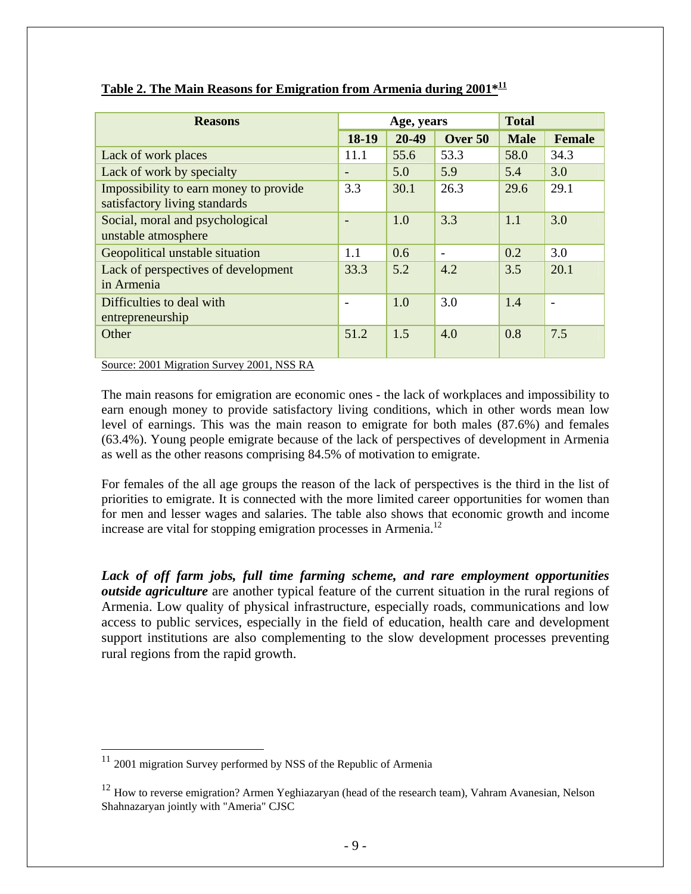| <b>Reasons</b>                                                          |                   | Age, years |         | <b>Total</b> |                |
|-------------------------------------------------------------------------|-------------------|------------|---------|--------------|----------------|
|                                                                         | 18-19             | 20-49      | Over 50 | <b>Male</b>  | <b>Female</b>  |
| Lack of work places                                                     | 11.1              | 55.6       | 53.3    | 58.0         | 34.3           |
| Lack of work by specialty                                               | $\qquad \qquad =$ | 5.0        | 5.9     | 5.4          | 3.0            |
| Impossibility to earn money to provide<br>satisfactory living standards | 3.3               | 30.1       | 26.3    | 29.6         | 29.1           |
| Social, moral and psychological<br>unstable atmosphere                  |                   | 1.0        | 3.3     | 1.1          | 3.0            |
| Geopolitical unstable situation                                         | 1.1               | 0.6        |         | 0.2          | 3.0            |
| Lack of perspectives of development<br>in Armenia                       | 33.3              | 5.2        | 4.2     | 3.5          | 20.1           |
| Difficulties to deal with<br>entrepreneurship                           |                   | 1.0        | 3.0     | 1.4          | $\blacksquare$ |
| Other                                                                   | 51.2              | 1.5        | 4.0     | 0.8          | 7.5            |

#### **Table 2. The Main Reasons for Emigration from Armenia during 2001\*[11](#page-8-0)**

Source: 2001 Migration Survey 2001, NSS RA

The main reasons for emigration are economic ones - the lack of workplaces and impossibility to earn enough money to provide satisfactory living conditions, which in other words mean low level of earnings. This was the main reason to emigrate for both males (87.6%) and females (63.4%). Young people emigrate because of the lack of perspectives of development in Armenia as well as the other reasons comprising 84.5% of motivation to emigrate.

For females of the all age groups the reason of the lack of perspectives is the third in the list of priorities to emigrate. It is connected with the more limited career opportunities for women than for men and lesser wages and salaries. The table also shows that economic growth and income increase are vital for stopping emigration processes in Armenia.<sup>12</sup>

*Lack of off farm jobs, full time farming scheme, and rare employment opportunities outside agriculture* are another typical feature of the current situation in the rural regions of Armenia. Low quality of physical infrastructure, especially roads, communications and low access to public services, especially in the field of education, health care and development support institutions are also complementing to the slow development processes preventing rural regions from the rapid growth.

 $\overline{a}$ 

<span id="page-8-0"></span> $11$  2001 migration Survey performed by NSS of the Republic of Armenia

<span id="page-8-1"></span><sup>&</sup>lt;sup>12</sup> How to reverse emigration? Armen Yeghiazaryan (head of the research team), Vahram Avanesian, Nelson Shahnazaryan jointly with "Ameria" CJSC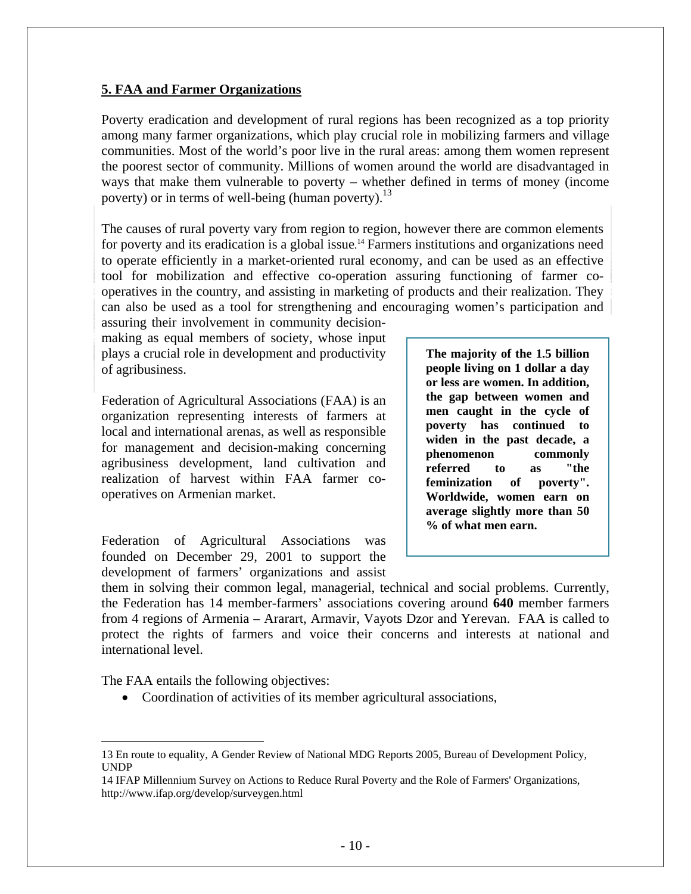#### **5. FAA and Farmer Organizations**

Poverty eradication and development of rural regions has been recognized as a top priority among many farmer organizations, which play crucial role in mobilizing farmers and village communities. Most of the world's poor live in the rural areas: among them women represent the poorest sector of community. Millions of women around the world are disadvantaged in ways that make them vulnerable to poverty – whether defined in terms of money (income poverty) or in terms of well-being (human poverty).<sup>13</sup>

The causes of rural poverty vary from region to region, however there are common elements for poverty and its eradication is a global issue. [14](#page-9-1) Farmers institutions and organizations need to operate efficiently in a market-oriented rural economy, and can be used as an effective tool for mobilization and effective co-operation assuring functioning of farmer cooperatives in the country, and assisting in marketing of products and their realization. They can also be used as a tool for strengthening and encouraging women's participation and

assuring their involvement in community decisionmaking as equal members of society, whose input plays a crucial role in development and productivity of agribusiness.

Federation of Agricultural Associations (FAA) is an organization representing interests of farmers at local and international arenas, as well as responsible for management and decision-making concerning agribusiness development, land cultivation and realization of harvest within FAA farmer cooperatives on Armenian market.

Federation of Agricultural Associations was founded on December 29, 2001 to support the development of farmers' organizations and assist **The majority of the 1.5 billion people living on 1 dollar a day or less are women. In addition, the gap between women and men caught in the cycle of poverty has continued to widen in the past decade, a phenomenon commonly referred to as "the feminization of poverty". Worldwide, women earn on average slightly more than 50 % of what men earn.** 

them in solving their common legal, managerial, technical and social problems. Currently, the Federation has 14 member-farmers' associations covering around **640** member farmers from 4 regions of Armenia – Ararart, Armavir, Vayots Dzor and Yerevan. FAA is called to protect the rights of farmers and voice their concerns and interests at national and international level.

The FAA entails the following objectives:

 $\overline{a}$ 

• Coordination of activities of its member agricultural associations,

<span id="page-9-1"></span>14 IFAP Millennium Survey on Actions to Reduce Rural Poverty and the Role of Farmers' Organizations, http://www.ifap.org/develop/surveygen.html

<span id="page-9-0"></span><sup>13</sup> En route to equality, A Gender Review of National MDG Reports 2005, Bureau of Development Policy, UNDP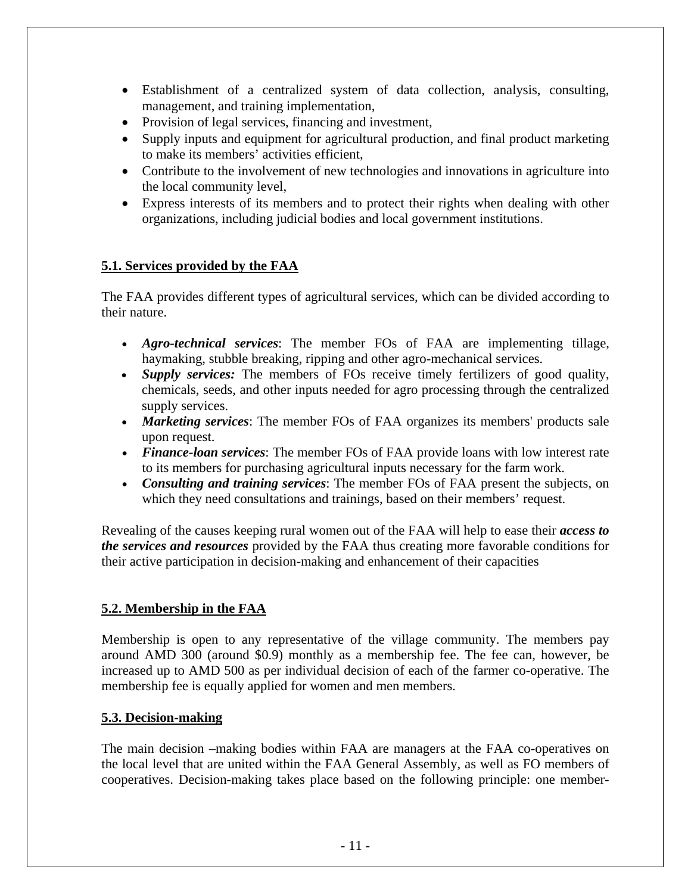- Establishment of a centralized system of data collection, analysis, consulting, management, and training implementation,
- Provision of legal services, financing and investment,
- Supply inputs and equipment for agricultural production, and final product marketing to make its members' activities efficient,
- Contribute to the involvement of new technologies and innovations in agriculture into the local community level,
- Express interests of its members and to protect their rights when dealing with other organizations, including judicial bodies and local government institutions.

## **5.1. Services provided by the FAA**

The FAA provides different types of agricultural services, which can be divided according to their nature.

- *Agro-technical services*: The member FOs of FAA are implementing tillage, haymaking, stubble breaking, ripping and other agro-mechanical services.
- *Supply services:* The members of FOs receive timely fertilizers of good quality, chemicals, seeds, and other inputs needed for agro processing through the centralized supply services.
- *Marketing services*: The member FOs of FAA organizes its members' products sale upon request.
- *Finance-loan services*: The member FOs of FAA provide loans with low interest rate to its members for purchasing agricultural inputs necessary for the farm work.
- *Consulting and training services*: The member FOs of FAA present the subjects, on which they need consultations and trainings, based on their members' request.

Revealing of the causes keeping rural women out of the FAA will help to ease their *access to the services and resources* provided by the FAA thus creating more favorable conditions for their active participation in decision-making and enhancement of their capacities

### **5.2. Membership in the FAA**

Membership is open to any representative of the village community. The members pay around AMD 300 (around \$0.9) monthly as a membership fee. The fee can, however, be increased up to AMD 500 as per individual decision of each of the farmer co-operative. The membership fee is equally applied for women and men members.

### **5.3. Decision-making**

The main decision –making bodies within FAA are managers at the FAA co-operatives on the local level that are united within the FAA General Assembly, as well as FO members of cooperatives. Decision-making takes place based on the following principle: one member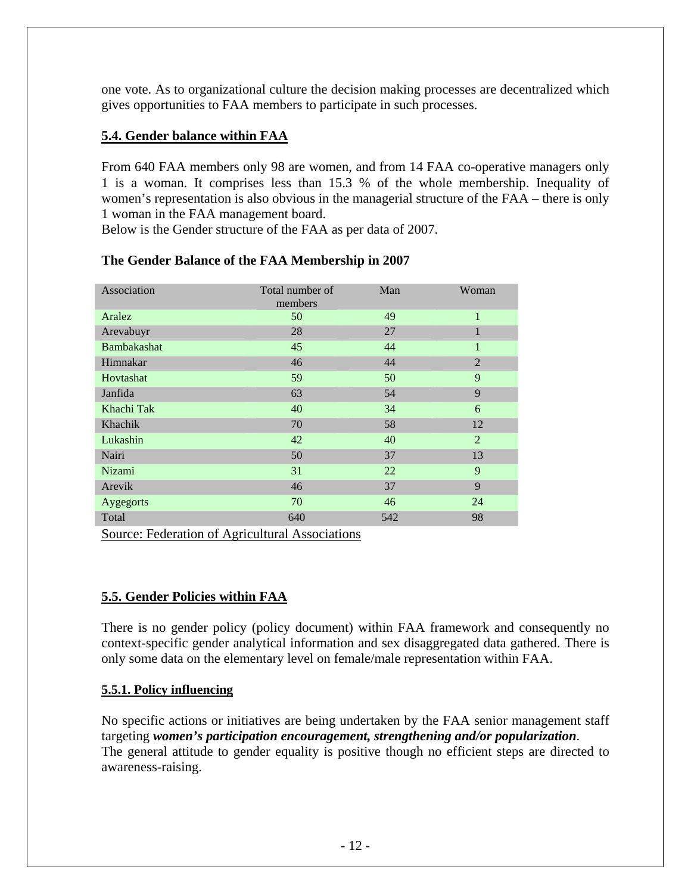one vote. As to organizational culture the decision making processes are decentralized which gives opportunities to FAA members to participate in such processes.

## **5.4. Gender balance within FAA**

From 640 FAA members only 98 are women, and from 14 FAA co-operative managers only 1 is a woman. It comprises less than 15.3 % of the whole membership. Inequality of women's representation is also obvious in the managerial structure of the FAA – there is only 1 woman in the FAA management board.

Below is the Gender structure of the FAA as per data of 2007.

| Association        | Total number of<br>members | Man | Woman          |
|--------------------|----------------------------|-----|----------------|
| Aralez             | 50                         | 49  | $\mathbf{1}$   |
| Arevabuyr          | 28                         | 27  | 1              |
| <b>Bambakashat</b> | 45                         | 44  | 1              |
| Himnakar           | 46                         | 44  | $\overline{2}$ |
| Hovtashat          | 59                         | 50  | 9              |
| Janfida            | 63                         | 54  | 9              |
| Khachi Tak         | 40                         | 34  | 6              |
| Khachik            | 70                         | 58  | 12             |
| Lukashin           | 42                         | 40  | $\overline{2}$ |
| Nairi              | 50                         | 37  | 13             |
| <b>Nizami</b>      | 31                         | 22  | 9              |
| Arevik             | 46                         | 37  | 9              |
| Aygegorts          | 70                         | 46  | 24             |
| Total              | 640                        | 542 | 98             |

### **The Gender Balance of the FAA Membership in 2007**

Source: Federation of Agricultural Associations

### **5.5. Gender Policies within FAA**

There is no gender policy (policy document) within FAA framework and consequently no context-specific gender analytical information and sex disaggregated data gathered. There is only some data on the elementary level on female/male representation within FAA.

### **5.5.1. Policy influencing**

No specific actions or initiatives are being undertaken by the FAA senior management staff targeting *women's participation encouragement, strengthening and/or popularization*. The general attitude to gender equality is positive though no efficient steps are directed to awareness-raising.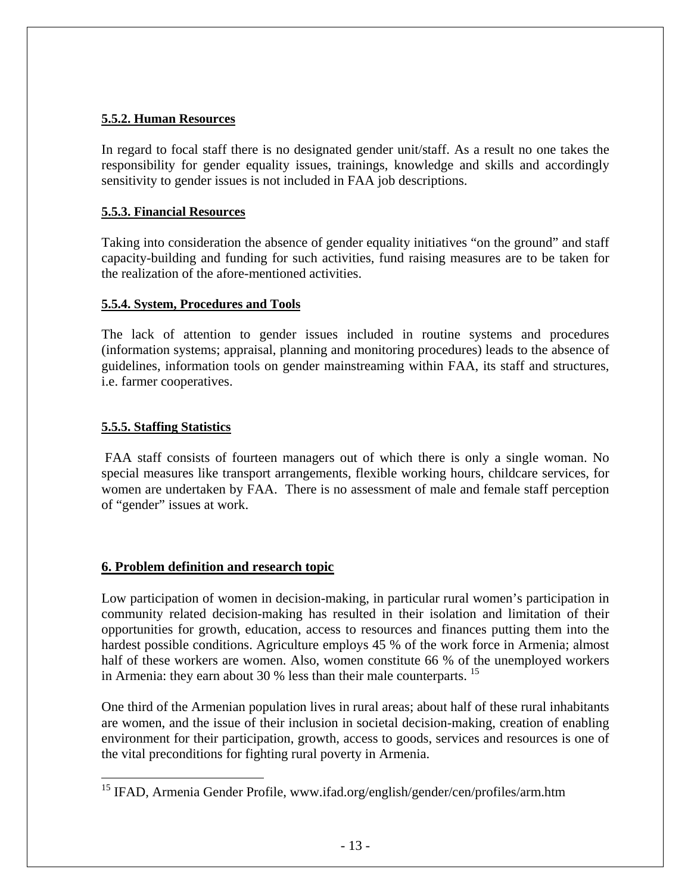#### **5.5.2. Human Resources**

In regard to focal staff there is no designated gender unit/staff. As a result no one takes the responsibility for gender equality issues, trainings, knowledge and skills and accordingly sensitivity to gender issues is not included in FAA job descriptions.

#### **5.5.3. Financial Resources**

Taking into consideration the absence of gender equality initiatives "on the ground" and staff capacity-building and funding for such activities, fund raising measures are to be taken for the realization of the afore-mentioned activities.

#### **5.5.4. System, Procedures and Tools**

The lack of attention to gender issues included in routine systems and procedures (information systems; appraisal, planning and monitoring procedures) leads to the absence of guidelines, information tools on gender mainstreaming within FAA, its staff and structures, i.e. farmer cooperatives.

#### **5.5.5. Staffing Statistics**

1

FAA staff consists of fourteen managers out of which there is only a single woman. No special measures like transport arrangements, flexible working hours, childcare services, for women are undertaken by FAA. There is no assessment of male and female staff perception of "gender" issues at work.

### **6. Problem definition and research topic**

Low participation of women in decision-making, in particular rural women's participation in community related decision-making has resulted in their isolation and limitation of their opportunities for growth, education, access to resources and finances putting them into the hardest possible conditions. Agriculture employs 45 % of the work force in Armenia; almost half of these workers are women. Also, women constitute 66 % of the unemployed workers in Armenia: they earn about 30 % less than their male counterparts. <sup>[15](#page-12-0)</sup>

One third of the Armenian population lives in rural areas; about half of these rural inhabitants are women, and the issue of their inclusion in societal decision-making, creation of enabling environment for their participation, growth, access to goods, services and resources is one of the vital preconditions for fighting rural poverty in Armenia.

<span id="page-12-0"></span><sup>&</sup>lt;sup>15</sup> IFAD, Armenia Gender Profile, www.ifad.org/english/gender/cen/profiles/arm.htm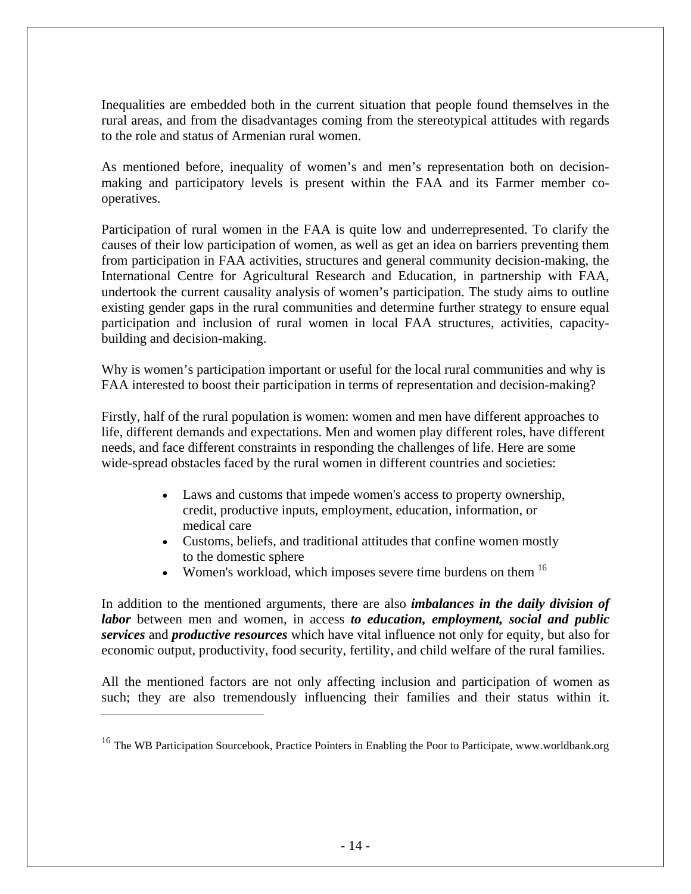Inequalities are embedded both in the current situation that people found themselves in the rural areas, and from the disadvantages coming from the stereotypical attitudes with regards to the role and status of Armenian rural women.

As mentioned before, inequality of women's and men's representation both on decisionmaking and participatory levels is present within the FAA and its Farmer member cooperatives.

Participation of rural women in the FAA is quite low and underrepresented. To clarify the causes of their low participation of women, as well as get an idea on barriers preventing them from participation in FAA activities, structures and general community decision-making, the International Centre for Agricultural Research and Education, in partnership with FAA, undertook the current causality analysis of women's participation. The study aims to outline existing gender gaps in the rural communities and determine further strategy to ensure equal participation and inclusion of rural women in local FAA structures, activities, capacitybuilding and decision-making.

Why is women's participation important or useful for the local rural communities and why is FAA interested to boost their participation in terms of representation and decision-making?

Firstly, half of the rural population is women: women and men have different approaches to life, different demands and expectations. Men and women play different roles, have different needs, and face different constraints in responding the challenges of life. Here are some wide-spread obstacles faced by the rural women in different countries and societies:

- Laws and customs that impede women's access to property ownership, credit, productive inputs, employment, education, information, or medical care
- Customs, beliefs, and traditional attitudes that confine women mostly to the domestic sphere
- Women's workload, which imposes severe time burdens on them  $16$

In addition to the mentioned arguments, there are also *imbalances in the daily division of labor* between men and women, in access *to education, employment, social and public services* and *productive resources* which have vital influence not only for equity, but also for economic output, productivity, food security, fertility, and child welfare of the rural families.

All the mentioned factors are not only affecting inclusion and participation of women as such; they are also tremendously influencing their families and their status within it.

 $\overline{a}$ 

<span id="page-13-0"></span><sup>&</sup>lt;sup>16</sup> The WB Participation Sourcebook, Practice Pointers in Enabling the Poor to Participate, [www.worldbank.org](http://www.worldbank.org/)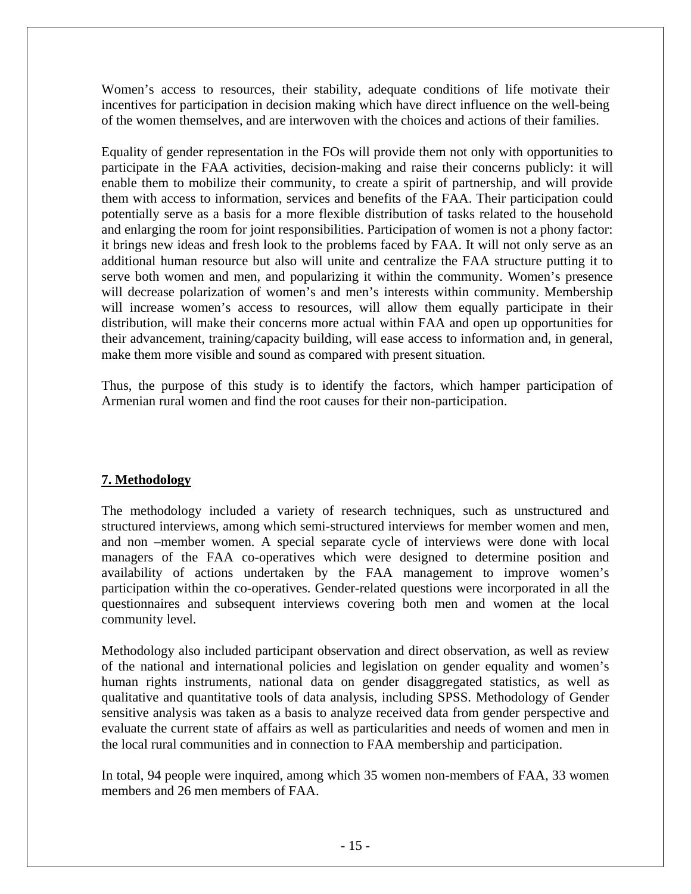Women's access to resources, their stability, adequate conditions of life motivate their incentives for participation in decision making which have direct influence on the well-being of the women themselves, and are interwoven with the choices and actions of their families.

Equality of gender representation in the FOs will provide them not only with opportunities to participate in the FAA activities, decision-making and raise their concerns publicly: it will enable them to mobilize their community, to create a spirit of partnership, and will provide them with access to information, services and benefits of the FAA. Their participation could potentially serve as a basis for a more flexible distribution of tasks related to the household and enlarging the room for joint responsibilities. Participation of women is not a phony factor: it brings new ideas and fresh look to the problems faced by FAA. It will not only serve as an additional human resource but also will unite and centralize the FAA structure putting it to serve both women and men, and popularizing it within the community. Women's presence will decrease polarization of women's and men's interests within community. Membership will increase women's access to resources, will allow them equally participate in their distribution, will make their concerns more actual within FAA and open up opportunities for their advancement, training/capacity building, will ease access to information and, in general, make them more visible and sound as compared with present situation.

Thus, the purpose of this study is to identify the factors, which hamper participation of Armenian rural women and find the root causes for their non-participation.

### **7. Methodology**

The methodology included a variety of research techniques, such as unstructured and structured interviews, among which semi-structured interviews for member women and men, and non –member women. A special separate cycle of interviews were done with local managers of the FAA co-operatives which were designed to determine position and availability of actions undertaken by the FAA management to improve women's participation within the co-operatives. Gender-related questions were incorporated in all the questionnaires and subsequent interviews covering both men and women at the local community level.

Methodology also included participant observation and direct observation, as well as review of the national and international policies and legislation on gender equality and women's human rights instruments, national data on gender disaggregated statistics, as well as qualitative and quantitative tools of data analysis, including SPSS. Methodology of Gender sensitive analysis was taken as a basis to analyze received data from gender perspective and evaluate the current state of affairs as well as particularities and needs of women and men in the local rural communities and in connection to FAA membership and participation.

In total, 94 people were inquired, among which 35 women non-members of FAA, 33 women members and 26 men members of FAA.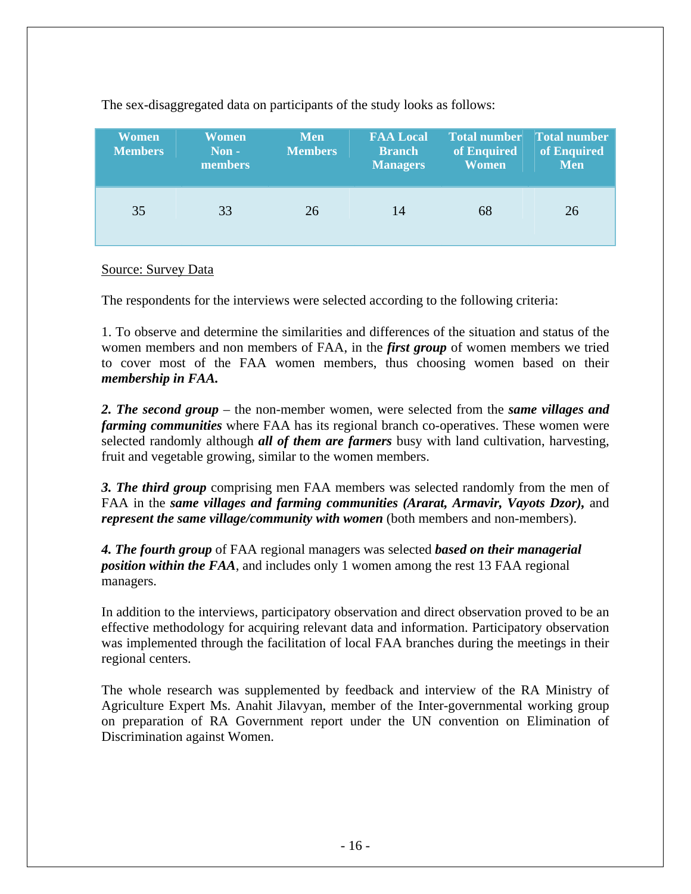| Women<br><b>Members</b> | <b>Women</b><br>Non-<br>members | <b>Men</b><br><b>Members</b> | <b>FAA Local</b><br><b>Branch</b><br><b>Managers</b> | <b>Total number</b><br>of Enquired<br><b>Women</b> | <b>Total number</b><br>of Enquired<br><b>Men</b> |
|-------------------------|---------------------------------|------------------------------|------------------------------------------------------|----------------------------------------------------|--------------------------------------------------|
| 35                      | 33                              | 26                           | 14                                                   | 68                                                 | 26                                               |

The sex-disaggregated data on participants of the study looks as follows:

#### Source: Survey Data

The respondents for the interviews were selected according to the following criteria:

1. To observe and determine the similarities and differences of the situation and status of the women members and non members of FAA, in the *first group* of women members we tried to cover most of the FAA women members, thus choosing women based on their *membership in FAA.*

*2. The second group* – the non-member women, were selected from the *same villages and farming communities* where FAA has its regional branch co-operatives. These women were selected randomly although *all of them are farmers* busy with land cultivation, harvesting, fruit and vegetable growing, similar to the women members.

*3. The third group* comprising men FAA members was selected randomly from the men of FAA in the *same villages and farming communities (Ararat, Armavir, Vayots Dzor),* and *represent the same village/community with women* (both members and non-members).

*4. The fourth group* of FAA regional managers was selected *based on their managerial position within the FAA*, and includes only 1 women among the rest 13 FAA regional managers.

In addition to the interviews, participatory observation and direct observation proved to be an effective methodology for acquiring relevant data and information. Participatory observation was implemented through the facilitation of local FAA branches during the meetings in their regional centers.

The whole research was supplemented by feedback and interview of the RA Ministry of Agriculture Expert Ms. Anahit Jilavyan, member of the Inter-governmental working group on preparation of RA Government report under the UN convention on Elimination of Discrimination against Women.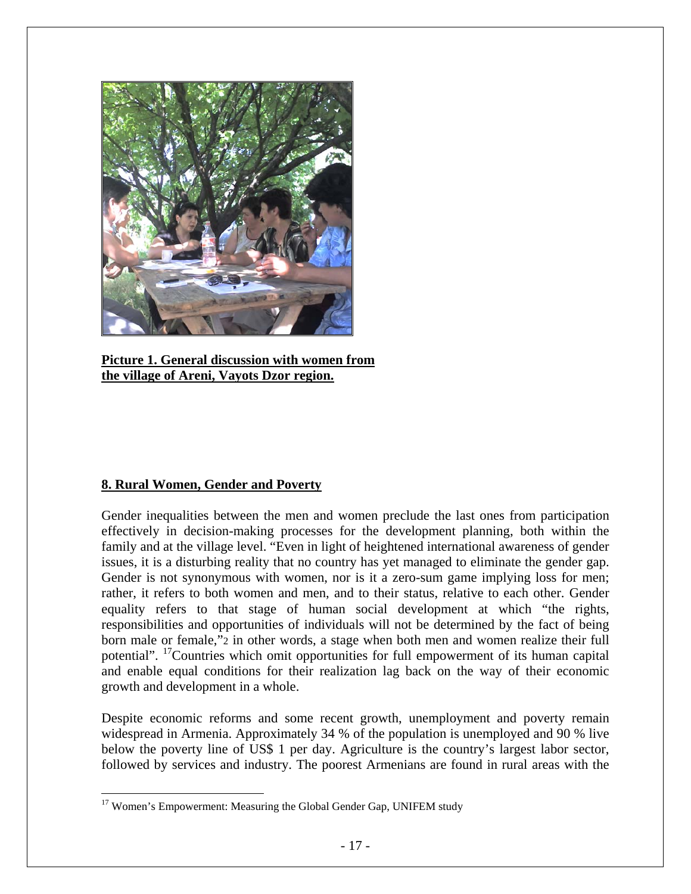

**Picture 1. General discussion with women from the village of Areni, Vayots Dzor region.**

## **8. Rural Women, Gender and Poverty**

 $\overline{a}$ 

Gender inequalities between the men and women preclude the last ones from participation effectively in decision-making processes for the development planning, both within the family and at the village level. "Even in light of heightened international awareness of gender issues, it is a disturbing reality that no country has yet managed to eliminate the gender gap. Gender is not synonymous with women, nor is it a zero-sum game implying loss for men; rather, it refers to both women and men, and to their status, relative to each other. Gender equality refers to that stage of human social development at which "the rights, responsibilities and opportunities of individuals will not be determined by the fact of being born male or female,"2 in other words, a stage when both men and women realize their full potential". <sup>17</sup>Countries which omit opportunities for full empowerment of its human capital and enable equal conditions for their realization lag back on the way of their economic growth and development in a whole.

Despite economic reforms and some recent growth, unemployment and poverty remain widespread in Armenia. Approximately 34 % of the population is unemployed and 90 % live below the poverty line of US\$ 1 per day. Agriculture is the country's largest labor sector, followed by services and industry. The poorest Armenians are found in rural areas with the

<span id="page-16-0"></span><sup>&</sup>lt;sup>17</sup> Women's Empowerment: Measuring the Global Gender Gap, UNIFEM study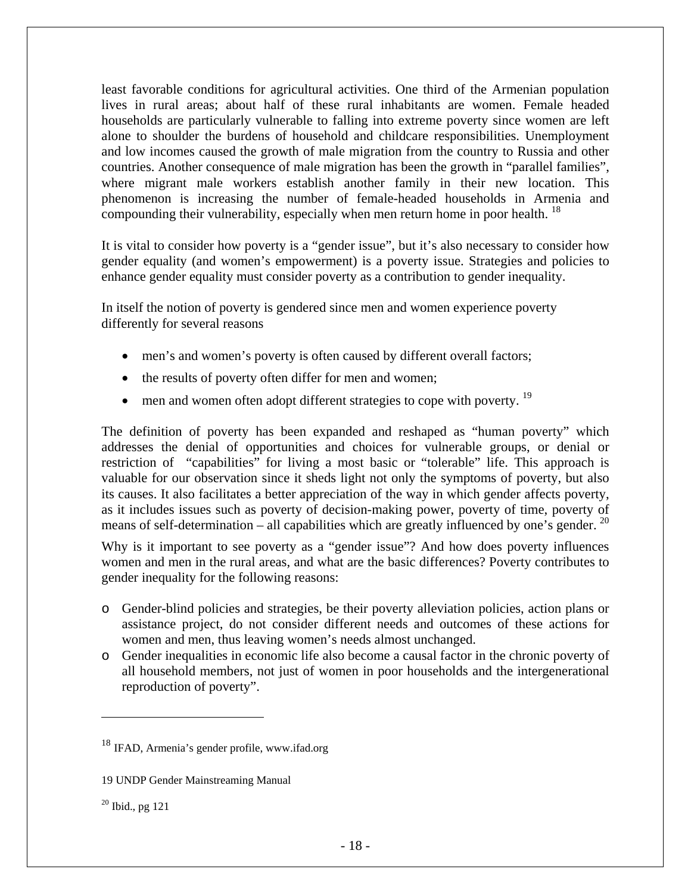least favorable conditions for agricultural activities. One third of the Armenian population lives in rural areas; about half of these rural inhabitants are women. Female headed households are particularly vulnerable to falling into extreme poverty since women are left alone to shoulder the burdens of household and childcare responsibilities. Unemployment and low incomes caused the growth of male migration from the country to Russia and other countries. Another consequence of male migration has been the growth in "parallel families", where migrant male workers establish another family in their new location. This phenomenon is increasing the number of female-headed households in Armenia and compounding their vulnerability, especially when men return home in poor health. <sup>[18](#page-17-0)</sup>

It is vital to consider how poverty is a "gender issue", but it's also necessary to consider how gender equality (and women's empowerment) is a poverty issue. Strategies and policies to enhance gender equality must consider poverty as a contribution to gender inequality.

In itself the notion of poverty is gendered since men and women experience poverty differently for several reasons

- men's and women's poverty is often caused by different overall factors;
- the results of poverty often differ for men and women;
- $\bullet$  men and women often adopt different strategies to cope with poverty.  $^{19}$  $^{19}$  $^{19}$

The definition of poverty has been expanded and reshaped as "human poverty" which addresses the denial of opportunities and choices for vulnerable groups, or denial or restriction of "capabilities" for living a most basic or "tolerable" life. This approach is valuable for our observation since it sheds light not only the symptoms of poverty, but also its causes. It also facilitates a better appreciation of the way in which gender affects poverty, as it includes issues such as poverty of decision-making power, poverty of time, poverty of means of self-determination – all capabilities which are greatly influenced by one's gender.  $^{20}$ 

Why is it important to see poverty as a "gender issue"? And how does poverty influences women and men in the rural areas, and what are the basic differences? Poverty contributes to gender inequality for the following reasons:

- o Gender-blind policies and strategies, be their poverty alleviation policies, action plans or assistance project, do not consider different needs and outcomes of these actions for women and men, thus leaving women's needs almost unchanged.
- o Gender inequalities in economic life also become a causal factor in the chronic poverty of all household members, not just of women in poor households and the intergenerational reproduction of poverty".

 $\overline{a}$ 

<span id="page-17-0"></span><sup>18</sup> IFAD, Armenia's gender profile, www.ifad.org

<span id="page-17-1"></span><sup>19</sup> UNDP Gender Mainstreaming Manual

<span id="page-17-2"></span> $20$  Ibid., pg 121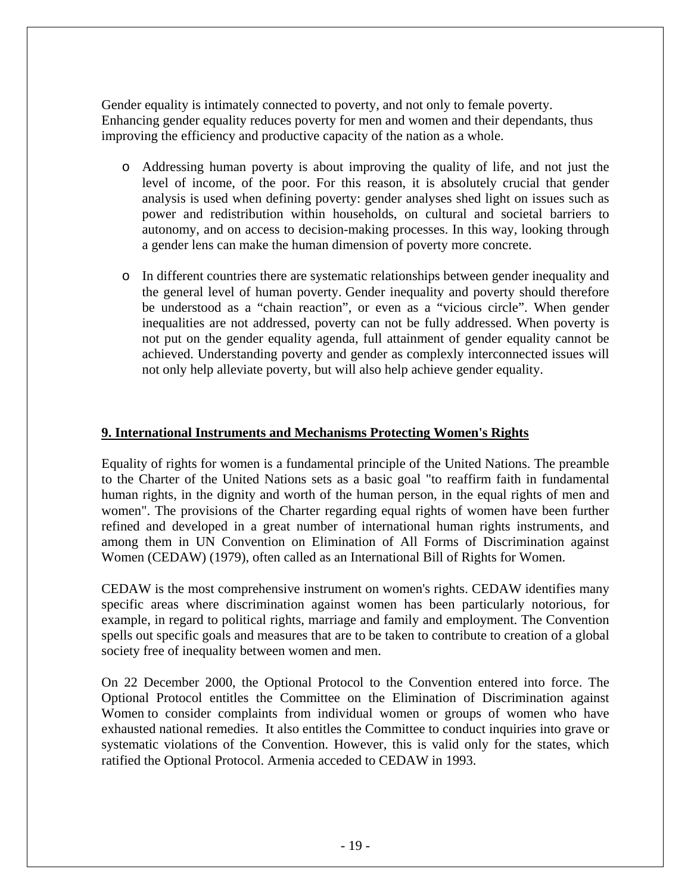Gender equality is intimately connected to poverty, and not only to female poverty. Enhancing gender equality reduces poverty for men and women and their dependants, thus improving the efficiency and productive capacity of the nation as a whole.

- o Addressing human poverty is about improving the quality of life, and not just the level of income, of the poor. For this reason, it is absolutely crucial that gender analysis is used when defining poverty: gender analyses shed light on issues such as power and redistribution within households, on cultural and societal barriers to autonomy, and on access to decision-making processes. In this way, looking through a gender lens can make the human dimension of poverty more concrete.
- o In different countries there are systematic relationships between gender inequality and the general level of human poverty. Gender inequality and poverty should therefore be understood as a "chain reaction", or even as a "vicious circle". When gender inequalities are not addressed, poverty can not be fully addressed. When poverty is not put on the gender equality agenda, full attainment of gender equality cannot be achieved. Understanding poverty and gender as complexly interconnected issues will not only help alleviate poverty, but will also help achieve gender equality.

## **9. International Instruments and Mechanisms Protecting Women's Rights**

Equality of rights for women is a fundamental principle of the United Nations. The preamble to the Charter of the United Nations sets as a basic goal "to reaffirm faith in fundamental human rights, in the dignity and worth of the human person, in the equal rights of men and women". The provisions of the Charter regarding equal rights of women have been further refined and developed in a great number of international human rights instruments, and among them in UN Convention on Elimination of All Forms of Discrimination against Women (CEDAW) (1979), often called as an International Bill of Rights for Women.

CEDAW is the most comprehensive instrument on women's rights. CEDAW identifies many specific areas where discrimination against women has been particularly notorious, for example, in regard to political rights, marriage and family and employment. The Convention spells out specific goals and measures that are to be taken to contribute to creation of a global society free of inequality between women and men.

On 22 December 2000, the Optional Protocol to the Convention entered into force. The Optional Protocol entitles the Committee on the Elimination of Discrimination against Women to consider complaints from individual women or groups of women who have exhausted national remedies. It also entitles the Committee to conduct inquiries into grave or systematic violations of the Convention. However, this is valid only for the states, which ratified the Optional Protocol. Armenia acceded to CEDAW in 1993.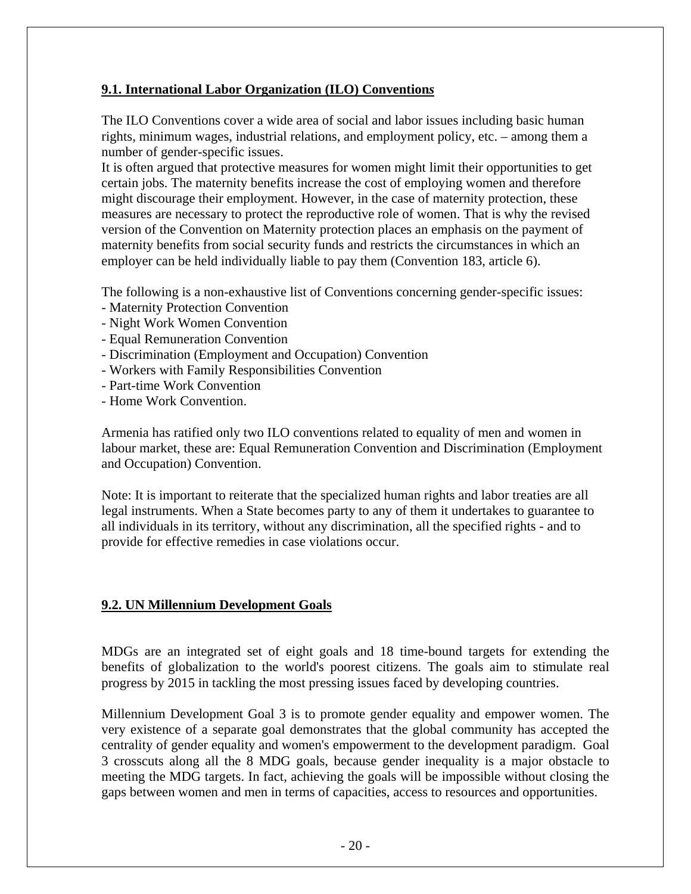### **9.1. International Labor Organization (ILO) Convention***s*

The ILO Conventions cover a wide area of social and labor issues including basic human rights, minimum wages, industrial relations, and employment policy, etc. – among them a number of gender-specific issues.

It is often argued that protective measures for women might limit their opportunities to get certain jobs. The maternity benefits increase the cost of employing women and therefore might discourage their employment. However, in the case of maternity protection, these measures are necessary to protect the reproductive role of women. That is why the revised version of the Convention on Maternity protection places an emphasis on the payment of maternity benefits from social security funds and restricts the circumstances in which an employer can be held individually liable to pay them (Convention 183, article 6).

The following is a non-exhaustive list of Conventions concerning gender-specific issues:

- Maternity Protection Convention
- Night Work Women Convention
- Equal Remuneration Convention
- Discrimination (Employment and Occupation) Convention
- Workers with Family Responsibilities Convention
- Part-time Work Convention
- Home Work Convention.

Armenia has ratified only two ILO conventions related to equality of men and women in labour market, these are: Equal Remuneration Convention and Discrimination (Employment and Occupation) Convention.

Note: It is important to reiterate that the specialized human rights and labor treaties are all legal instruments. When a State becomes party to any of them it undertakes to guarantee to all individuals in its territory, without any discrimination, all the specified rights - and to provide for effective remedies in case violations occur.

### **9.2. UN Millennium Development Goals**

MDGs are an integrated set of eight goals and 18 time-bound targets for extending the benefits of globalization to the world's poorest citizens. The goals aim to stimulate real progress by 2015 in tackling the most pressing issues faced by developing countries.

Millennium Development Goal 3 is to promote gender equality and empower women. The very existence of a separate goal demonstrates that the global community has accepted the centrality of gender equality and women's empowerment to the development paradigm. Goal 3 crosscuts along all the 8 MDG goals, because gender inequality is a major obstacle to meeting the MDG targets. In fact, achieving the goals will be impossible without closing the gaps between women and men in terms of capacities, access to resources and opportunities.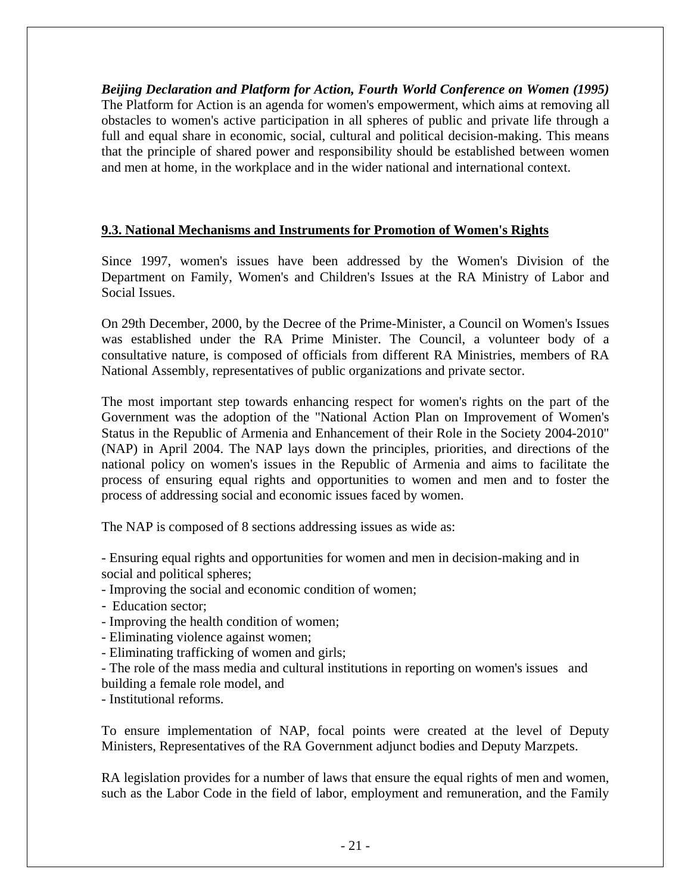*Beijing Declaration and Platform for Action, Fourth World Conference on Women (1995)* The Platform for Action is an agenda for women's empowerment, which aims at removing all obstacles to women's active participation in all spheres of public and private life through a full and equal share in economic, social, cultural and political decision-making. This means that the principle of shared power and responsibility should be established between women and men at home, in the workplace and in the wider national and international context.

### **9.3. National Mechanisms and Instruments for Promotion of Women's Rights**

Since 1997, women's issues have been addressed by the Women's Division of the Department on Family, Women's and Children's Issues at the RA Ministry of Labor and Social Issues.

On 29th December, 2000, by the Decree of the Prime-Minister, a Council on Women's Issues was established under the RA Prime Minister. The Council, a volunteer body of a consultative nature, is composed of officials from different RA Ministries, members of RA National Assembly, representatives of public organizations and private sector.

The most important step towards enhancing respect for women's rights on the part of the Government was the adoption of the "National Action Plan on Improvement of Women's Status in the Republic of Armenia and Enhancement of their Role in the Society 2004-2010" (NAP) in April 2004. The NAP lays down the principles, priorities, and directions of the national policy on women's issues in the Republic of Armenia and aims to facilitate the process of ensuring equal rights and opportunities to women and men and to foster the process of addressing social and economic issues faced by women.

The NAP is composed of 8 sections addressing issues as wide as:

- Ensuring equal rights and opportunities for women and men in decision-making and in social and political spheres;

- Improving the social and economic condition of women;
- Education sector;
- Improving the health condition of women;
- Eliminating violence against women;
- Eliminating trafficking of women and girls;
- The role of the mass media and cultural institutions in reporting on women's issues and building a female role model, and

- Institutional reforms.

To ensure implementation of NAP, focal points were created at the level of Deputy Ministers, Representatives of the RA Government adjunct bodies and Deputy Marzpets.

RA legislation provides for a number of laws that ensure the equal rights of men and women, such as the Labor Code in the field of labor, employment and remuneration, and the Family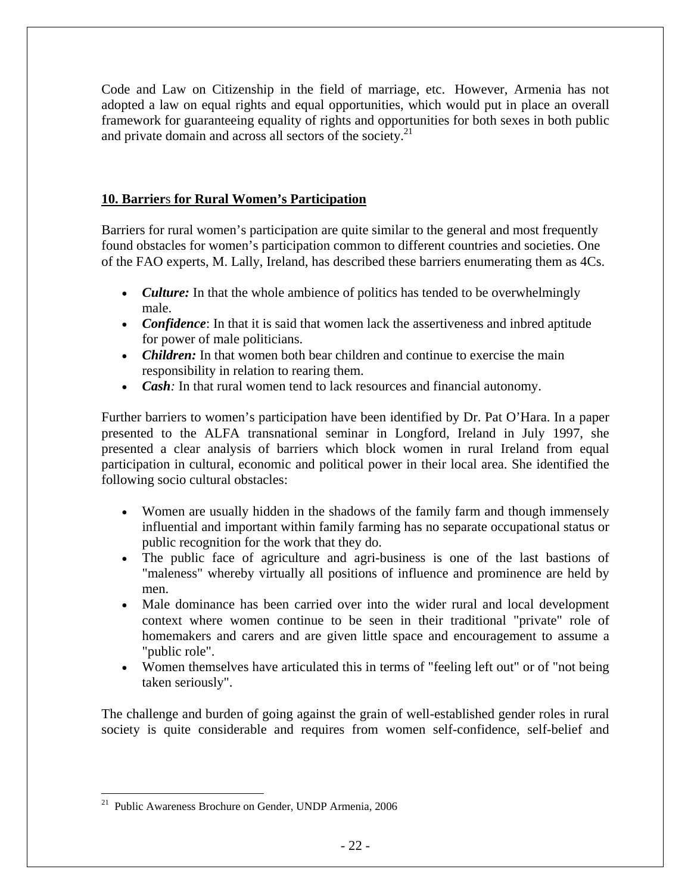Code and Law on Citizenship in the field of marriage, etc. However, Armenia has not adopted a law on equal rights and equal opportunities, which would put in place an overall framework for guaranteeing equality of rights and opportunities for both sexes in both public and private domain and across all sectors of the society.<sup>21</sup>

## **10. Barrier**s **for Rural Women's Participation**

Barriers for rural women's participation are quite similar to the general and most frequently found obstacles for women's participation common to different countries and societies. One of the FAO experts, M. Lally, Ireland, has described these barriers enumerating them as 4Cs.

- *Culture:* In that the whole ambience of politics has tended to be overwhelmingly male.
- *Confidence*: In that it is said that women lack the assertiveness and inbred aptitude for power of male politicians.
- *Children:* In that women both bear children and continue to exercise the main responsibility in relation to rearing them.
- *Cash*: In that rural women tend to lack resources and financial autonomy.

Further barriers to women's participation have been identified by Dr. Pat O'Hara. In a paper presented to the ALFA transnational seminar in Longford, Ireland in July 1997, she presented a clear analysis of barriers which block women in rural Ireland from equal participation in cultural, economic and political power in their local area. She identified the following socio cultural obstacles:

- Women are usually hidden in the shadows of the family farm and though immensely influential and important within family farming has no separate occupational status or public recognition for the work that they do.
- The public face of agriculture and agri-business is one of the last bastions of "maleness" whereby virtually all positions of influence and prominence are held by men.
- Male dominance has been carried over into the wider rural and local development context where women continue to be seen in their traditional "private" role of homemakers and carers and are given little space and encouragement to assume a "public role".
- Women themselves have articulated this in terms of "feeling left out" or of "not being" taken seriously".

The challenge and burden of going against the grain of well-established gender roles in rural society is quite considerable and requires from women self-confidence, self-belief and

 $\overline{a}$ 

<span id="page-21-0"></span><sup>&</sup>lt;sup>21</sup> Public Awareness Brochure on Gender, UNDP Armenia, 2006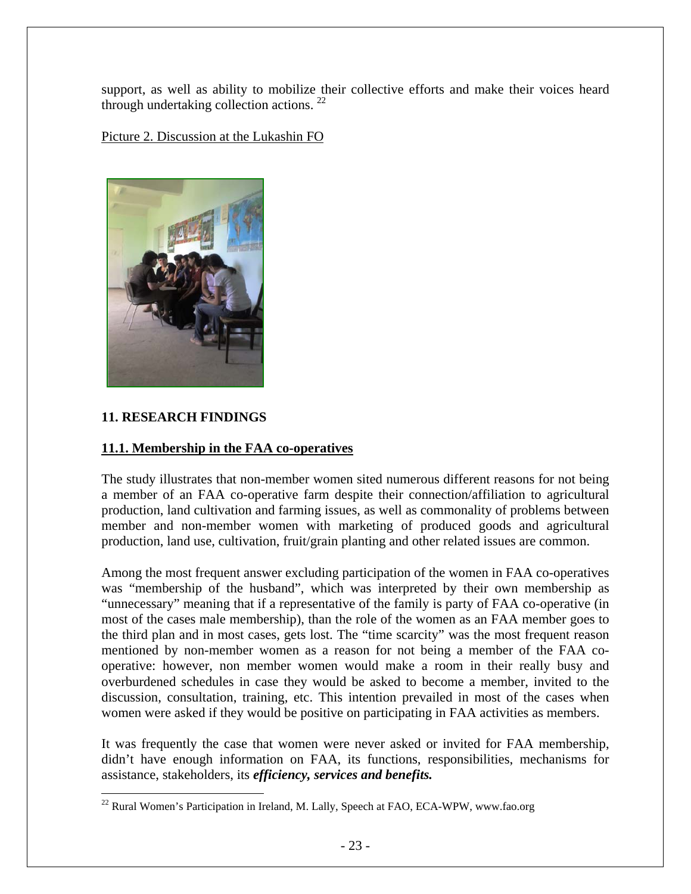support, as well as ability to mobilize their collective efforts and make their voices heard through undertaking collection actions.  $^{22}$  $^{22}$  $^{22}$ 

Picture 2. Discussion at the Lukashin FO



## **11. RESEARCH FINDINGS**

 $\overline{a}$ 

### **11.1. Membership in the FAA co-operatives**

The study illustrates that non-member women sited numerous different reasons for not being a member of an FAA co-operative farm despite their connection/affiliation to agricultural production, land cultivation and farming issues, as well as commonality of problems between member and non-member women with marketing of produced goods and agricultural production, land use, cultivation, fruit/grain planting and other related issues are common.

Among the most frequent answer excluding participation of the women in FAA co-operatives was "membership of the husband", which was interpreted by their own membership as "unnecessary" meaning that if a representative of the family is party of FAA co-operative (in most of the cases male membership), than the role of the women as an FAA member goes to the third plan and in most cases, gets lost. The "time scarcity" was the most frequent reason mentioned by non-member women as a reason for not being a member of the FAA cooperative: however, non member women would make a room in their really busy and overburdened schedules in case they would be asked to become a member, invited to the discussion, consultation, training, etc. This intention prevailed in most of the cases when women were asked if they would be positive on participating in FAA activities as members.

It was frequently the case that women were never asked or invited for FAA membership, didn't have enough information on FAA, its functions, responsibilities, mechanisms for assistance, stakeholders, its *efficiency, services and benefits.*

<span id="page-22-0"></span> $^{22}$  Rural Women's Participation in Ireland, M. Lally, Speech at FAO, ECA-WPW, www.fao.org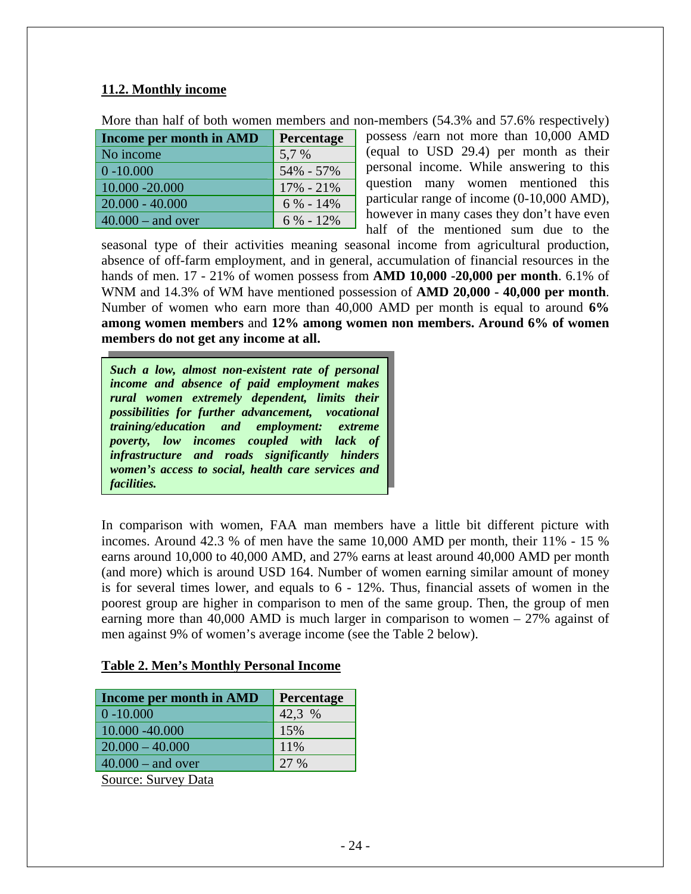## **11.2. Monthly income**

| More than half of both women members and non-members (54.3% and 57.6% respectively) |  |  |  |
|-------------------------------------------------------------------------------------|--|--|--|
|-------------------------------------------------------------------------------------|--|--|--|

| Income per month in AMD | Percentage    |
|-------------------------|---------------|
| No income               | 5,7 %         |
| $0 - 10,000$            | 54% - 57%     |
| 10.000 - 20.000         | $17\% - 21\%$ |
| $20.000 - 40.000$       | $6\% - 14\%$  |
| $40.000 -$ and over     | $6\% - 12\%$  |

possess /earn not more than 10,000 AMD (equal to USD 29.4) per month as their personal income. While answering to this question many women mentioned this particular range of income (0-10,000 AMD), however in many cases they don't have even half of the mentioned sum due to the

seasonal type of their activities meaning seasonal income from agricultural production, absence of off-farm employment, and in general, accumulation of financial resources in the hands of men. 17 - 21% of women possess from **AMD 10,000 -20,000 per month**. 6.1% of WNM and 14.3% of WM have mentioned possession of **AMD 20,000 - 40,000 per month**. Number of women who earn more than 40,000 AMD per month is equal to around **6% among women members** and **12% among women non members. Around 6% of women members do not get any income at all.**

*Taglesia accure* and *Todas* significantly *induces* women's access to social, health care services and *Such a low, almost non-existent rate of personal income and absence of paid employment makes rural women extremely dependent, limits their possibilities for further advancement, vocational training/education and employment: extreme poverty, low incomes coupled with lack of infrastructure and roads significantly hinders facilities.*

In comparison with women, FAA man members have a little bit different picture with incomes. Around 42.3 % of men have the same 10,000 AMD per month, their 11% - 15 % earns around 10,000 to 40,000 AMD, and 27% earns at least around 40,000 AMD per month (and more) which is around USD 164. Number of women earning similar amount of money is for several times lower, and equals to 6 - 12%. Thus, financial assets of women in the poorest group are higher in comparison to men of the same group. Then, the group of men earning more than 40,000 AMD is much larger in comparison to women – 27% against of men against 9% of women's average income (see the Table 2 below).

### **Table 2. Men's Monthly Personal Income**

| Income per month in AMD    | Percentage |
|----------------------------|------------|
| $0 - 10.000$               | 42,3 %     |
| 10.000 -40.000             | 15%        |
| $20.000 - 40.000$          | 11%        |
| $40.000 -$ and over        | 27 %       |
| <b>Source: Survey Data</b> |            |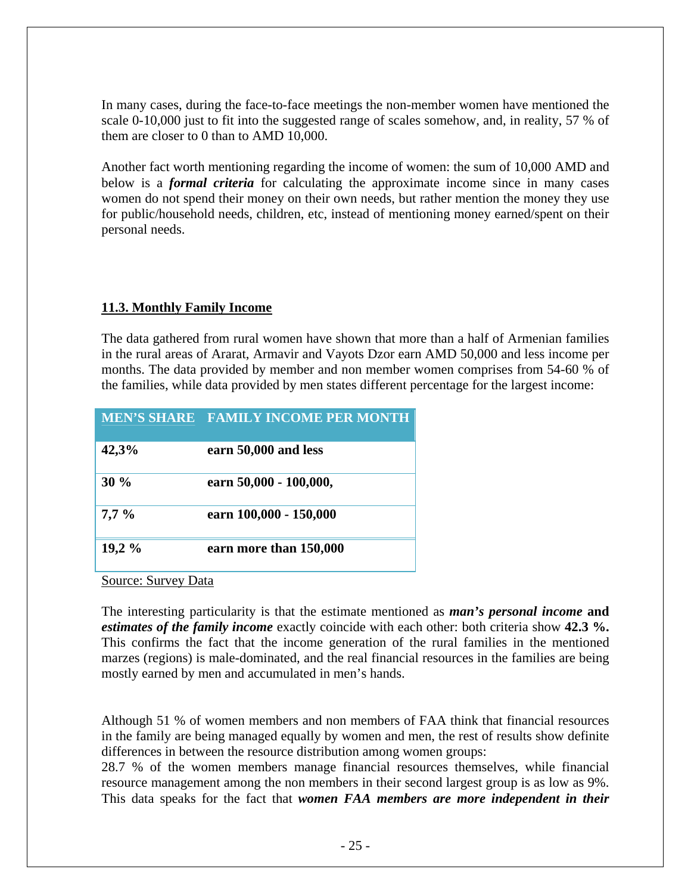In many cases, during the face-to-face meetings the non-member women have mentioned the scale 0-10,000 just to fit into the suggested range of scales somehow, and, in reality, 57 % of them are closer to 0 than to AMD 10,000.

Another fact worth mentioning regarding the income of women: the sum of 10,000 AMD and below is a *formal criteria* for calculating the approximate income since in many cases women do not spend their money on their own needs, but rather mention the money they use for public/household needs, children, etc, instead of mentioning money earned/spent on their personal needs.

### **11.3. Monthly Family Income**

The data gathered from rural women have shown that more than a half of Armenian families in the rural areas of Ararat, Armavir and Vayots Dzor earn AMD 50,000 and less income per months. The data provided by member and non member women comprises from 54-60 % of the families, while data provided by men states different percentage for the largest income:

|         | MEN'S SHARE FAMILY INCOME PER MONTH |
|---------|-------------------------------------|
| 42,3%   | earn 50,000 and less                |
| 30%     | earn 50,000 - 100,000,              |
| $7,7\%$ | earn 100,000 - 150,000              |
| 19,2%   | earn more than 150,000              |

Source: Survey Data

The interesting particularity is that the estimate mentioned as *man's personal income* **and**  *estimates of the family income* exactly coincide with each other: both criteria show **42.3 %.** This confirms the fact that the income generation of the rural families in the mentioned marzes (regions) is male-dominated, and the real financial resources in the families are being mostly earned by men and accumulated in men's hands.

Although 51 % of women members and non members of FAA think that financial resources in the family are being managed equally by women and men, the rest of results show definite differences in between the resource distribution among women groups:

28.7 % of the women members manage financial resources themselves, while financial resource management among the non members in their second largest group is as low as 9%. This data speaks for the fact that *women FAA members are more independent in their*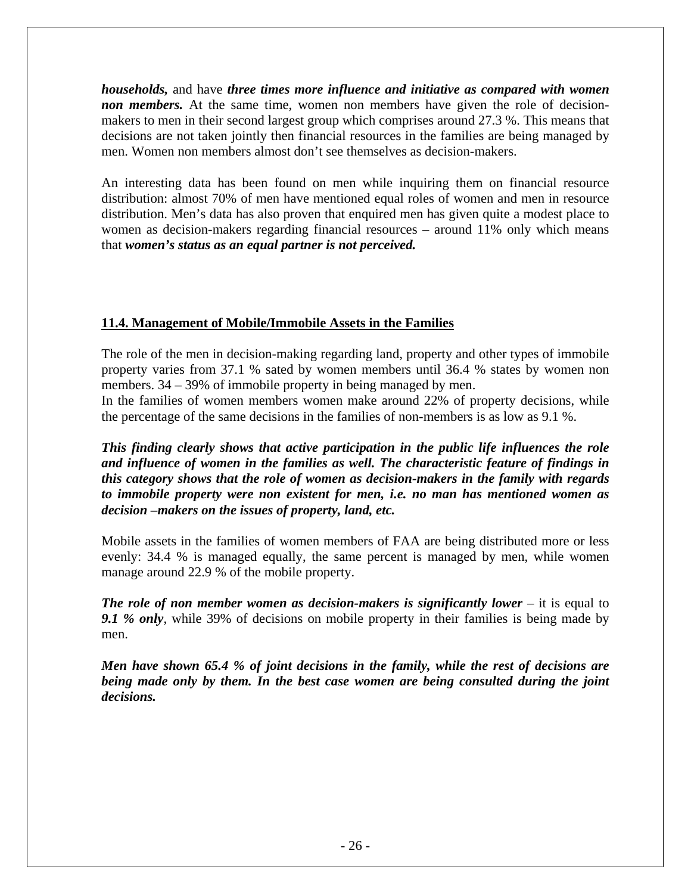*households,* and have *three times more influence and initiative as compared with women non members.* At the same time, women non members have given the role of decisionmakers to men in their second largest group which comprises around 27.3 %. This means that decisions are not taken jointly then financial resources in the families are being managed by men. Women non members almost don't see themselves as decision-makers.

An interesting data has been found on men while inquiring them on financial resource distribution: almost 70% of men have mentioned equal roles of women and men in resource distribution. Men's data has also proven that enquired men has given quite a modest place to women as decision-makers regarding financial resources – around 11% only which means that *women's status as an equal partner is not perceived.* 

### **11.4. Management of Mobile/Immobile Assets in the Families**

The role of the men in decision-making regarding land, property and other types of immobile property varies from 37.1 % sated by women members until 36.4 % states by women non members. 34 – 39% of immobile property in being managed by men.

In the families of women members women make around 22% of property decisions, while the percentage of the same decisions in the families of non-members is as low as 9.1 %.

*This finding clearly shows that active participation in the public life influences the role and influence of women in the families as well. The characteristic feature of findings in this category shows that the role of women as decision-makers in the family with regards to immobile property were non existent for men, i.e. no man has mentioned women as decision –makers on the issues of property, land, etc.* 

Mobile assets in the families of women members of FAA are being distributed more or less evenly: 34.4 % is managed equally, the same percent is managed by men, while women manage around 22.9 % of the mobile property.

*The role of non member women as decision-makers is significantly lower* **– it is equal to** *9.1 % only*, while 39% of decisions on mobile property in their families is being made by men.

*Men have shown 65.4 % of joint decisions in the family, while the rest of decisions are*  being made only by them. In the best case women are being consulted during the joint *decisions.*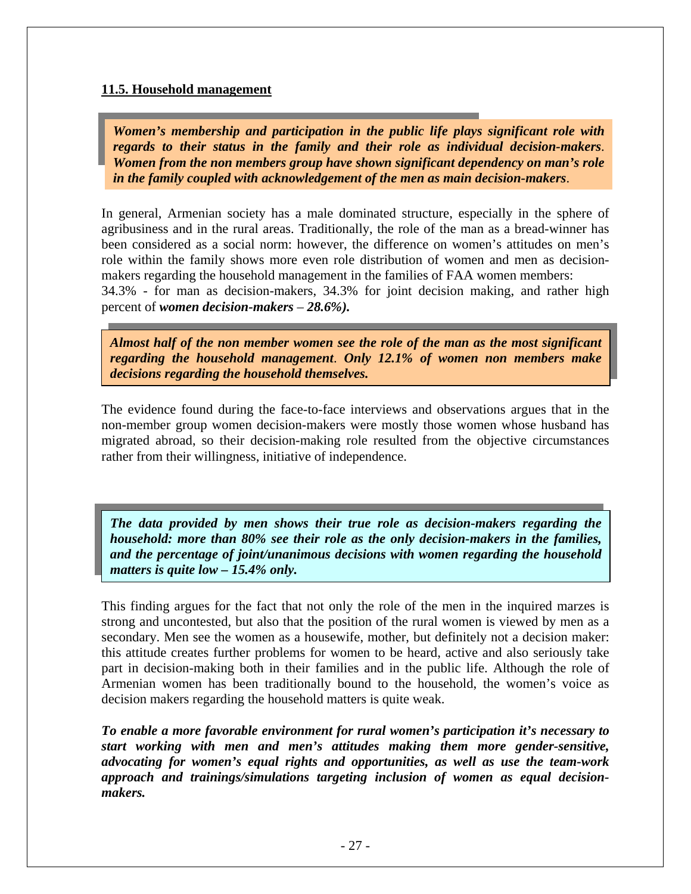#### **11.5. Household management**

*Women's membership and participation in the public life plays significant role with regards to their status in the family and their role as individual decision-makers*. *Women from the non members group have shown significant dependency on man's role in the family coupled with acknowledgement of the men as main decision-makers*.

In general, Armenian society has a male dominated structure, especially in the sphere of agribusiness and in the rural areas. Traditionally, the role of the man as a bread-winner has been considered as a social norm: however, the difference on women's attitudes on men's role within the family shows more even role distribution of women and men as decisionmakers regarding the household management in the families of FAA women members: 34.3% - for man as decision-makers, 34.3% for joint decision making, and rather high percent of *women decision-makers* – *28.6%).*

*Almost half of the non member women see the role of the man as the most significant regarding the household management*. *Only 12.1% of women non members make decisions regarding the household themselves.*

The evidence found during the face-to-face interviews and observations argues that in the non-member group women decision-makers were mostly those women whose husband has migrated abroad, so their decision-making role resulted from the objective circumstances rather from their willingness, initiative of independence.

*The data provided by men shows their true role as decision-makers regarding the household: more than 80% see their role as the only decision-makers in the families, and the percentage of joint/unanimous decisions with women regarding the household matters is quite low – 15.4% only.* 

This finding argues for the fact that not only the role of the men in the inquired marzes is strong and uncontested, but also that the position of the rural women is viewed by men as a secondary. Men see the women as a housewife, mother, but definitely not a decision maker: this attitude creates further problems for women to be heard, active and also seriously take part in decision-making both in their families and in the public life. Although the role of Armenian women has been traditionally bound to the household, the women's voice as decision makers regarding the household matters is quite weak.

*To enable a more favorable environment for rural women's participation it's necessary to start working with men and men's attitudes making them more gender-sensitive, advocating for women's equal rights and opportunities, as well as use the team-work approach and trainings/simulations targeting inclusion of women as equal decisionmakers.*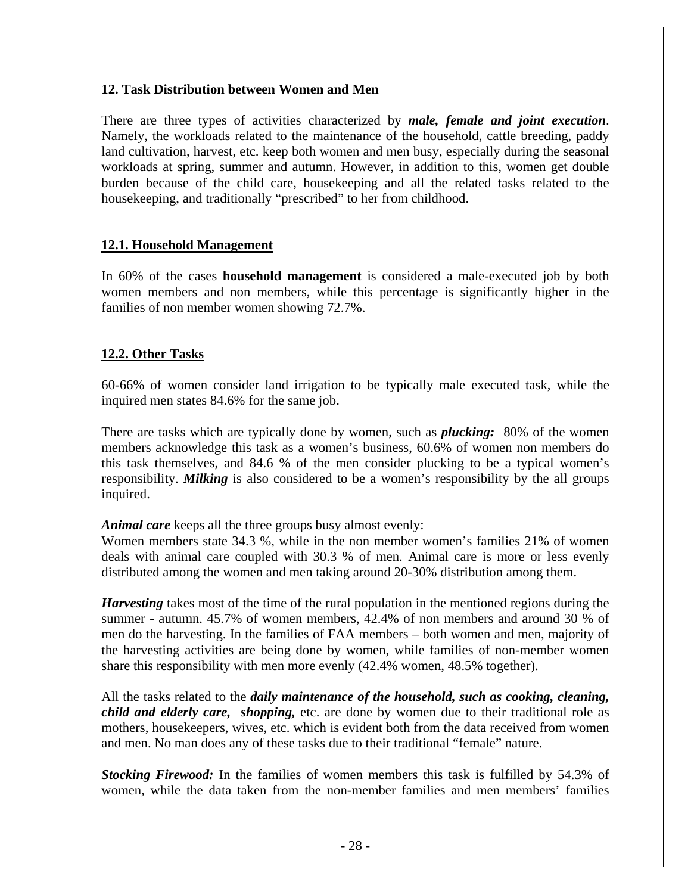#### **12. Task Distribution between Women and Men**

There are three types of activities characterized by *male, female and joint execution*. Namely, the workloads related to the maintenance of the household, cattle breeding, paddy land cultivation, harvest, etc. keep both women and men busy, especially during the seasonal workloads at spring, summer and autumn. However, in addition to this, women get double burden because of the child care, housekeeping and all the related tasks related to the housekeeping, and traditionally "prescribed" to her from childhood.

#### **12.1. Household Management**

In 60% of the cases **household management** is considered a male-executed job by both women members and non members, while this percentage is significantly higher in the families of non member women showing 72.7%.

### **12.2. Other Tasks**

60-66% of women consider land irrigation to be typically male executed task, while the inquired men states 84.6% for the same job.

There are tasks which are typically done by women, such as *plucking:* 80% of the women members acknowledge this task as a women's business, 60.6% of women non members do this task themselves, and 84.6 % of the men consider plucking to be a typical women's responsibility. *Milking* is also considered to be a women's responsibility by the all groups inquired.

#### *Animal care* keeps all the three groups busy almost evenly:

Women members state 34.3 %, while in the non member women's families 21% of women deals with animal care coupled with 30.3 % of men. Animal care is more or less evenly distributed among the women and men taking around 20-30% distribution among them.

*Harvesting* takes most of the time of the rural population in the mentioned regions during the summer - autumn. 45.7% of women members, 42.4% of non members and around 30 % of men do the harvesting. In the families of FAA members – both women and men, majority of the harvesting activities are being done by women, while families of non-member women share this responsibility with men more evenly (42.4% women, 48.5% together).

All the tasks related to the *daily maintenance of the household, such as cooking, cleaning, child and elderly care, shopping,* etc. are done by women due to their traditional role as mothers, housekeepers, wives, etc. which is evident both from the data received from women and men. No man does any of these tasks due to their traditional "female" nature.

*Stocking Firewood:* In the families of women members this task is fulfilled by 54.3% of women, while the data taken from the non-member families and men members' families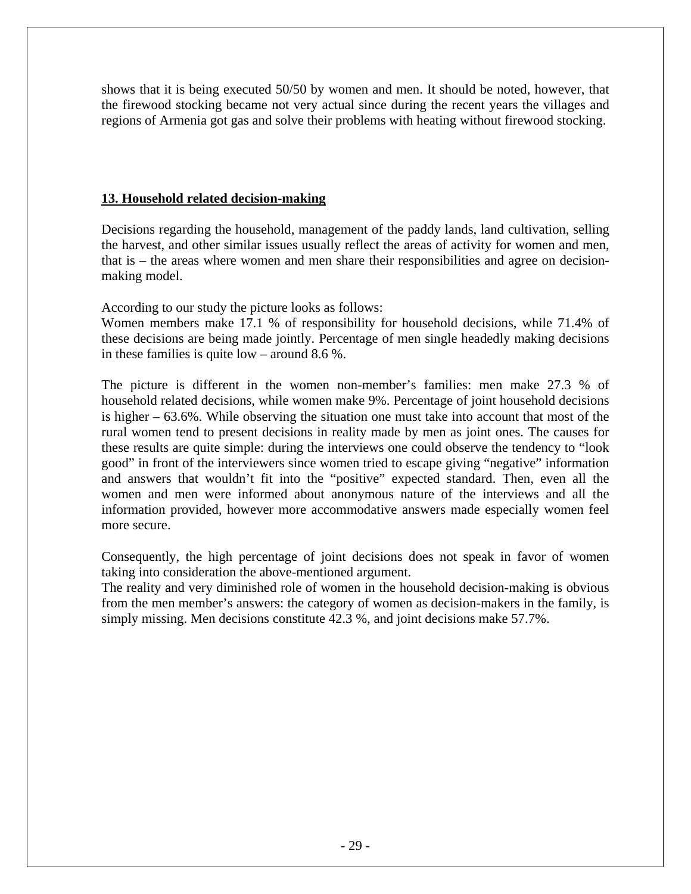shows that it is being executed 50/50 by women and men. It should be noted, however, that the firewood stocking became not very actual since during the recent years the villages and regions of Armenia got gas and solve their problems with heating without firewood stocking.

### **13. Household related decision-making**

Decisions regarding the household, management of the paddy lands, land cultivation, selling the harvest, and other similar issues usually reflect the areas of activity for women and men, that is – the areas where women and men share their responsibilities and agree on decisionmaking model.

According to our study the picture looks as follows:

Women members make 17.1 % of responsibility for household decisions, while 71.4% of these decisions are being made jointly. Percentage of men single headedly making decisions in these families is quite low – around 8.6 %.

The picture is different in the women non-member's families: men make 27.3 % of household related decisions, while women make 9%. Percentage of joint household decisions is higher – 63.6%. While observing the situation one must take into account that most of the rural women tend to present decisions in reality made by men as joint ones. The causes for these results are quite simple: during the interviews one could observe the tendency to "look good" in front of the interviewers since women tried to escape giving "negative" information and answers that wouldn't fit into the "positive" expected standard. Then, even all the women and men were informed about anonymous nature of the interviews and all the information provided, however more accommodative answers made especially women feel more secure.

Consequently, the high percentage of joint decisions does not speak in favor of women taking into consideration the above-mentioned argument.

The reality and very diminished role of women in the household decision-making is obvious from the men member's answers: the category of women as decision-makers in the family, is simply missing. Men decisions constitute 42.3 %, and joint decisions make 57.7%.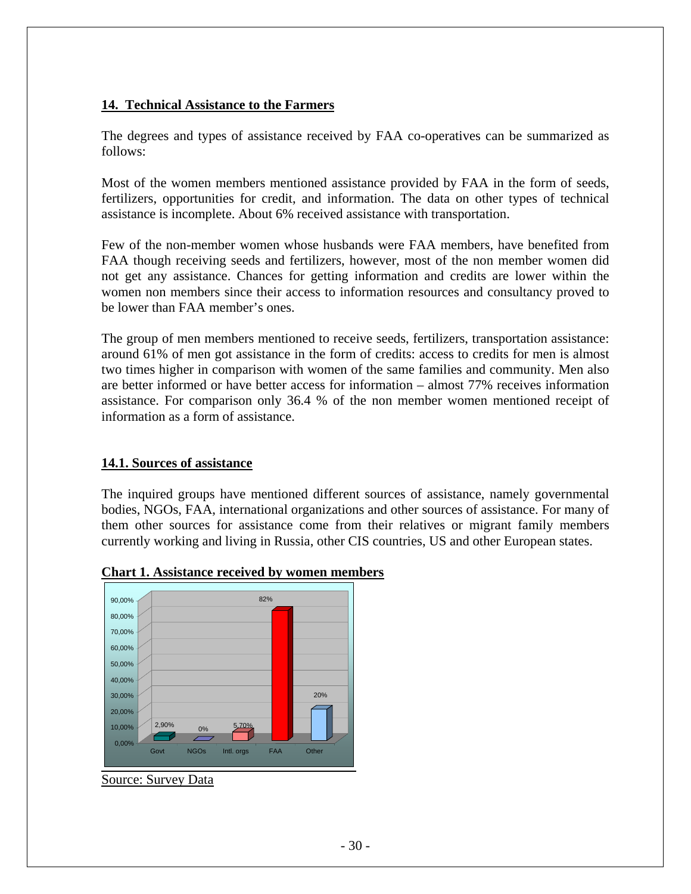#### **14. Technical Assistance to the Farmers**

The degrees and types of assistance received by FAA co-operatives can be summarized as follows:

Most of the women members mentioned assistance provided by FAA in the form of seeds, fertilizers, opportunities for credit, and information. The data on other types of technical assistance is incomplete. About 6% received assistance with transportation.

Few of the non-member women whose husbands were FAA members, have benefited from FAA though receiving seeds and fertilizers, however, most of the non member women did not get any assistance. Chances for getting information and credits are lower within the women non members since their access to information resources and consultancy proved to be lower than FAA member's ones.

The group of men members mentioned to receive seeds, fertilizers, transportation assistance: around 61% of men got assistance in the form of credits: access to credits for men is almost two times higher in comparison with women of the same families and community. Men also are better informed or have better access for information – almost 77% receives information assistance. For comparison only 36.4 % of the non member women mentioned receipt of information as a form of assistance.

### **14.1. Sources of assistance**

The inquired groups have mentioned different sources of assistance, namely governmental bodies, NGOs, FAA, international organizations and other sources of assistance. For many of them other sources for assistance come from their relatives or migrant family members currently working and living in Russia, other CIS countries, US and other European states.



#### **Chart 1. Assistance received by women members**

Source: Survey Data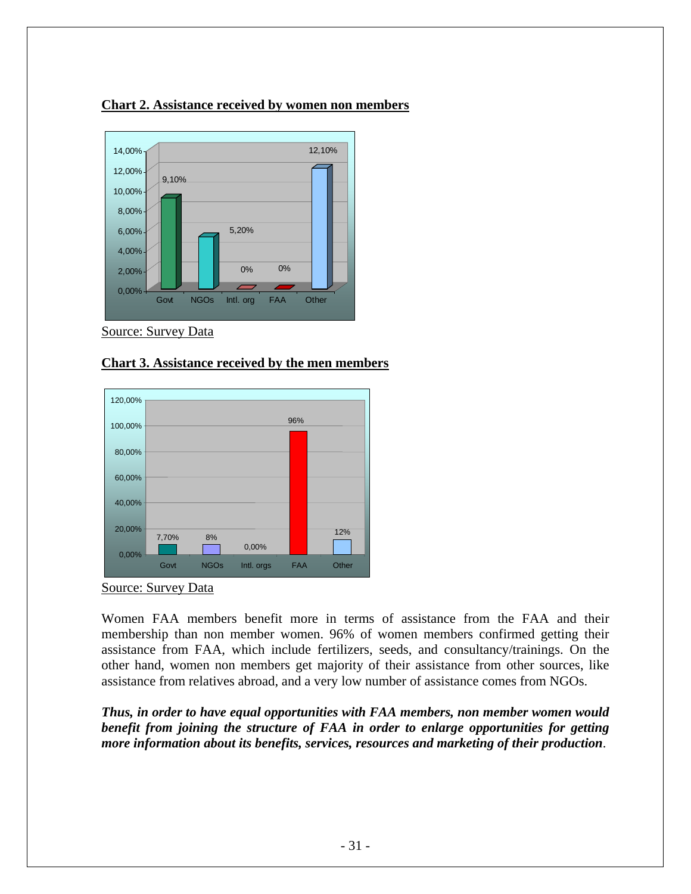#### **Chart 2. Assistance received by women non members**



Source: Survey Data

#### **Chart 3. Assistance received by the men members**





Women FAA members benefit more in terms of assistance from the FAA and their membership than non member women. 96% of women members confirmed getting their assistance from FAA, which include fertilizers, seeds, and consultancy/trainings. On the other hand, women non members get majority of their assistance from other sources, like assistance from relatives abroad, and a very low number of assistance comes from NGOs.

*Thus, in order to have equal opportunities with FAA members, non member women would benefit from joining the structure of FAA in order to enlarge opportunities for getting more information about its benefits, services, resources and marketing of their production*.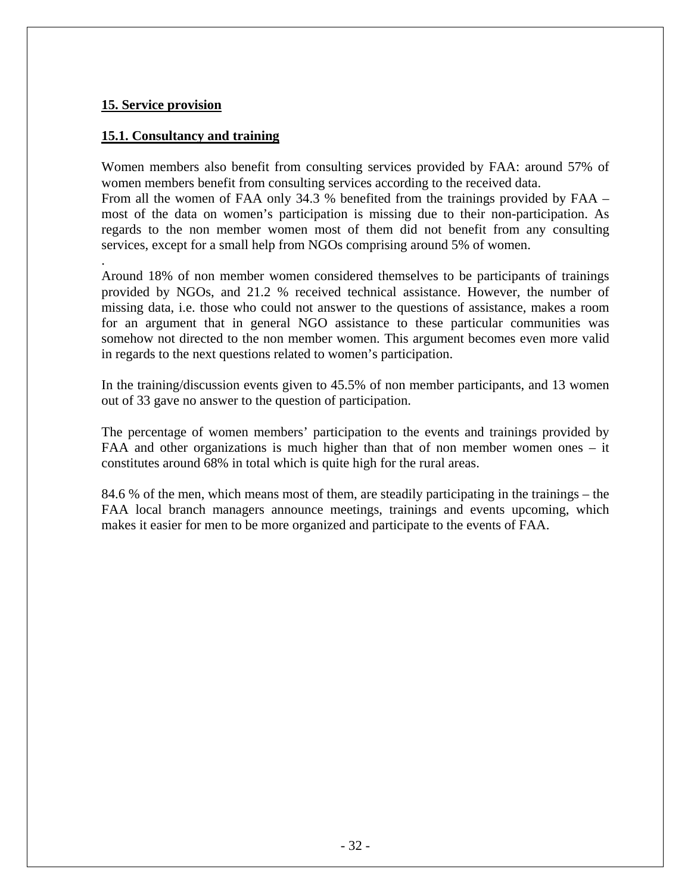#### **15. Service provision**

#### **15.1. Consultancy and training**

Women members also benefit from consulting services provided by FAA: around 57% of women members benefit from consulting services according to the received data. From all the women of FAA only 34.3 % benefited from the trainings provided by FAA – most of the data on women's participation is missing due to their non-participation. As regards to the non member women most of them did not benefit from any consulting services, except for a small help from NGOs comprising around 5% of women.

. Around 18% of non member women considered themselves to be participants of trainings provided by NGOs, and 21.2 % received technical assistance. However, the number of missing data, i.e. those who could not answer to the questions of assistance, makes a room for an argument that in general NGO assistance to these particular communities was somehow not directed to the non member women. This argument becomes even more valid in regards to the next questions related to women's participation.

In the training/discussion events given to 45.5% of non member participants, and 13 women out of 33 gave no answer to the question of participation.

The percentage of women members' participation to the events and trainings provided by FAA and other organizations is much higher than that of non member women ones – it constitutes around 68% in total which is quite high for the rural areas.

84.6 % of the men, which means most of them, are steadily participating in the trainings – the FAA local branch managers announce meetings, trainings and events upcoming, which makes it easier for men to be more organized and participate to the events of FAA.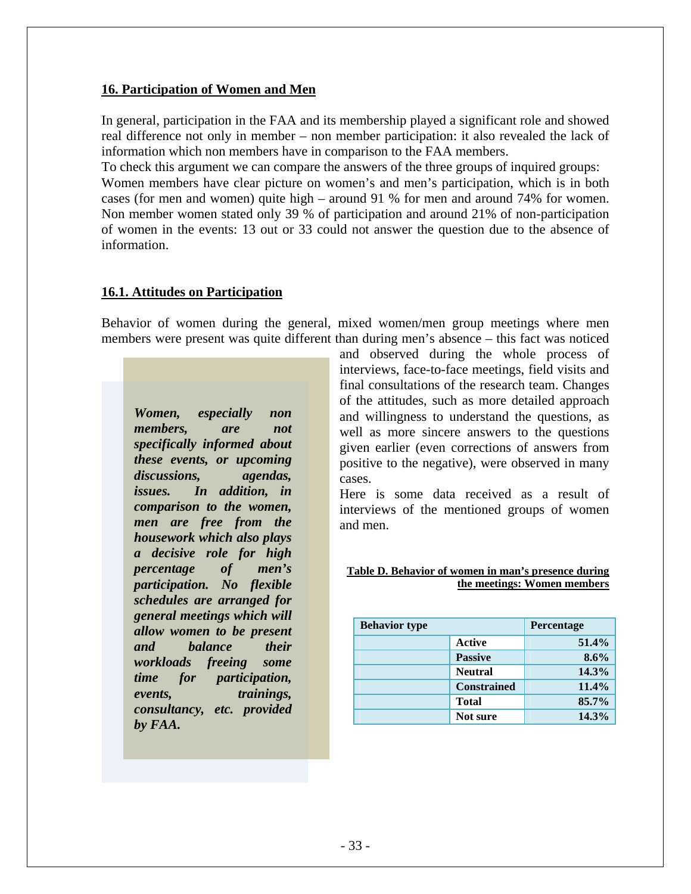#### **16. Participation of Women and Men**

In general, participation in the FAA and its membership played a significant role and showed real difference not only in member – non member participation: it also revealed the lack of information which non members have in comparison to the FAA members.

To check this argument we can compare the answers of the three groups of inquired groups: Women members have clear picture on women's and men's participation, which is in both cases (for men and women) quite high – around 91 % for men and around 74% for women. Non member women stated only 39 % of participation and around 21% of non-participation of women in the events: 13 out or 33 could not answer the question due to the absence of information.

### **16.1. Attitudes on Participation**

Behavior of women during the general, mixed women/men group meetings where men members were present was quite different than during men's absence – this fact was noticed

*Women, especially non members, are not specifically informed about these events, or upcoming discussions, agendas, issues. In addition, in comparison to the women, men are free from the housework which also plays a decisive role for high percentage of men's participation. No flexible schedules are arranged for general meetings which will allow women to be present and balance their workloads freeing some time for participation, events, trainings, consultancy, etc. provided by FAA.* 

and observed during the whole process of interviews, face-to-face meetings, field visits and final consultations of the research team. Changes of the attitudes, such as more detailed approach and willingness to understand the questions, as well as more sincere answers to the questions given earlier (even corrections of answers from positive to the negative), were observed in many cases.

Here is some data received as a result of interviews of the mentioned groups of women and men.

#### **Table D. Behavior of women in man's presence during the meetings: Women members**

| <b>Behavior type</b> | Percentage         |       |  |
|----------------------|--------------------|-------|--|
|                      | 51.4%              |       |  |
|                      | <b>Passive</b>     | 8.6%  |  |
|                      | 14.3%              |       |  |
|                      | <b>Constrained</b> | 11.4% |  |
|                      | <b>Total</b>       | 85.7% |  |
|                      | Not sure           | 14.3% |  |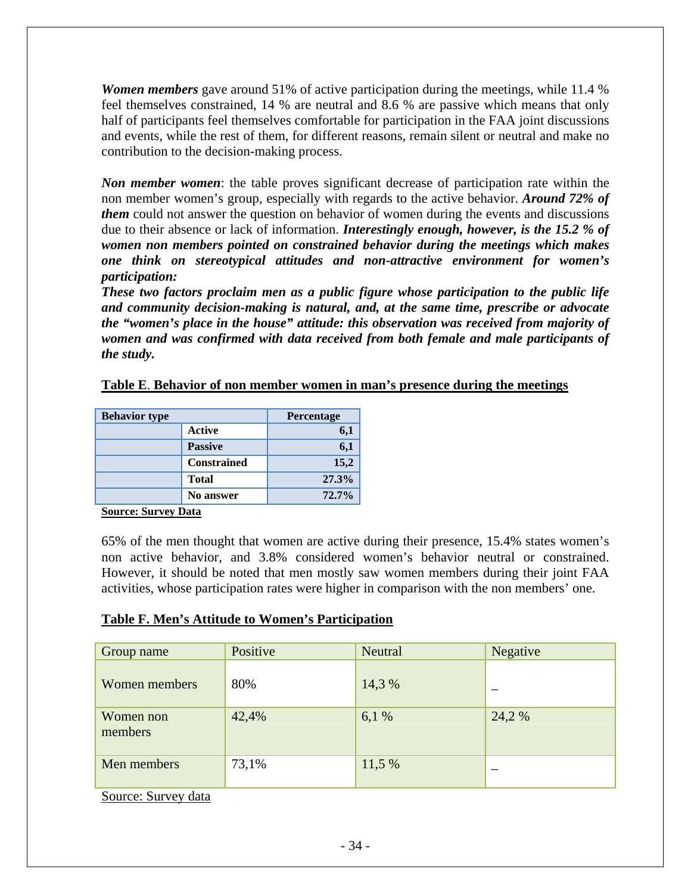*Women members* gave around 51% of active participation during the meetings, while 11.4 % feel themselves constrained, 14 % are neutral and 8.6 % are passive which means that only half of participants feel themselves comfortable for participation in the FAA joint discussions and events, while the rest of them, for different reasons, remain silent or neutral and make no contribution to the decision-making process.

*Non member women*: the table proves significant decrease of participation rate within the non member women's group, especially with regards to the active behavior. *Around 72% of them* could not answer the question on behavior of women during the events and discussions due to their absence or lack of information. *Interestingly enough, however, is the 15.2 % of women non members pointed on constrained behavior during the meetings which makes one think on stereotypical attitudes and non-attractive environment for women's participation:* 

*These two factors proclaim men as a public figure whose participation to the public life and community decision-making is natural, and, at the same time, prescribe or advocate the "women's place in the house" attitude: this observation was received from majority of women and was confirmed with data received from both female and male participants of the study.* 

#### **Table E**. **Behavior of non member women in man's presence during the meetings**

| <b>Behavior type</b> | Percentage       |       |  |
|----------------------|------------------|-------|--|
|                      | 6,1              |       |  |
|                      | 6,1              |       |  |
|                      | 15,2             |       |  |
|                      | 27.3%            |       |  |
|                      | <b>No answer</b> | 72.7% |  |

**Source: Survey Data**

65% of the men thought that women are active during their presence, 15.4% states women's non active behavior, and 3.8% considered women's behavior neutral or constrained. However, it should be noted that men mostly saw women members during their joint FAA activities, whose participation rates were higher in comparison with the non members' one.

### **Table F. Men's Attitude to Women's Participation**

| Group name           | Positive | Neutral | Negative |
|----------------------|----------|---------|----------|
| Women members        | 80%      | 14,3 %  |          |
| Women non<br>members | 42,4%    | 6,1%    | 24,2 %   |
| Men members          | 73,1%    | 11,5 %  |          |

Source: Survey data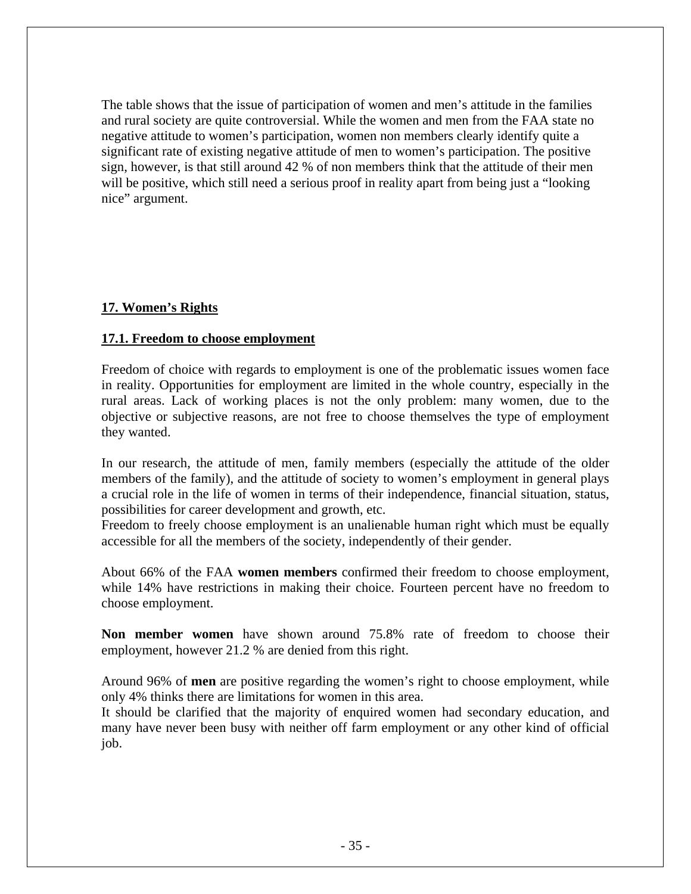The table shows that the issue of participation of women and men's attitude in the families and rural society are quite controversial. While the women and men from the FAA state no negative attitude to women's participation, women non members clearly identify quite a significant rate of existing negative attitude of men to women's participation. The positive sign, however, is that still around 42 % of non members think that the attitude of their men will be positive, which still need a serious proof in reality apart from being just a "looking" nice" argument.

## **17. Women's Rights**

### **17.1. Freedom to choose employment**

Freedom of choice with regards to employment is one of the problematic issues women face in reality. Opportunities for employment are limited in the whole country, especially in the rural areas. Lack of working places is not the only problem: many women, due to the objective or subjective reasons, are not free to choose themselves the type of employment they wanted.

In our research, the attitude of men, family members (especially the attitude of the older members of the family), and the attitude of society to women's employment in general plays a crucial role in the life of women in terms of their independence, financial situation, status, possibilities for career development and growth, etc.

Freedom to freely choose employment is an unalienable human right which must be equally accessible for all the members of the society, independently of their gender.

About 66% of the FAA **women members** confirmed their freedom to choose employment, while 14% have restrictions in making their choice. Fourteen percent have no freedom to choose employment.

**Non member women** have shown around 75.8% rate of freedom to choose their employment, however 21.2 % are denied from this right.

Around 96% of **men** are positive regarding the women's right to choose employment, while only 4% thinks there are limitations for women in this area.

It should be clarified that the majority of enquired women had secondary education, and many have never been busy with neither off farm employment or any other kind of official job.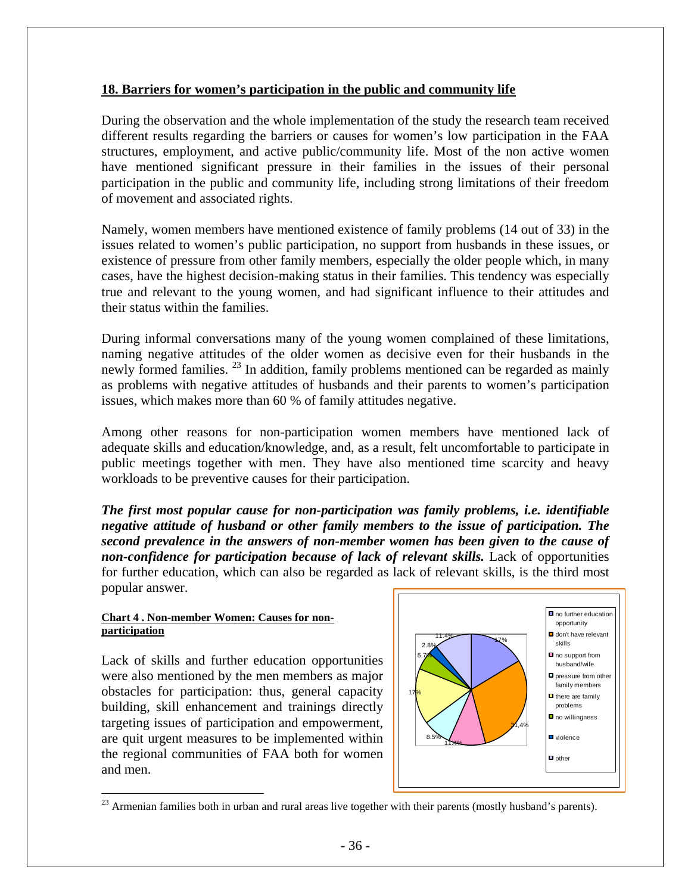#### **18. Barriers for women's participation in the public and community life**

During the observation and the whole implementation of the study the research team received different results regarding the barriers or causes for women's low participation in the FAA structures, employment, and active public/community life. Most of the non active women have mentioned significant pressure in their families in the issues of their personal participation in the public and community life, including strong limitations of their freedom of movement and associated rights.

Namely, women members have mentioned existence of family problems (14 out of 33) in the issues related to women's public participation, no support from husbands in these issues, or existence of pressure from other family members, especially the older people which, in many cases, have the highest decision-making status in their families. This tendency was especially true and relevant to the young women, and had significant influence to their attitudes and their status within the families.

During informal conversations many of the young women complained of these limitations, naming negative attitudes of the older women as decisive even for their husbands in the newly formed families.<sup>23</sup> In addition, family problems mentioned can be regarded as mainly as problems with negative attitudes of husbands and their parents to women's participation issues, which makes more than 60 % of family attitudes negative.

Among other reasons for non-participation women members have mentioned lack of adequate skills and education/knowledge, and, as a result, felt uncomfortable to participate in public meetings together with men. They have also mentioned time scarcity and heavy workloads to be preventive causes for their participation.

*The first most popular cause for non-participation was family problems, i.e. identifiable negative attitude of husband or other family members to the issue of participation. The second prevalence in the answers of non-member women has been given to the cause of non-confidence for participation because of lack of relevant skills.* **Lack of opportunities** for further education, which can also be regarded as lack of relevant skills, is the third most popular answer.

#### **Chart 4 . Non-member Women: Causes for nonparticipation**

 $\overline{a}$ 

Lack of skills and further education opportunities were also mentioned by the men members as major obstacles for participation: thus, general capacity building, skill enhancement and trainings directly targeting issues of participation and empowerment, are quit urgent measures to be implemented within the regional communities of FAA both for women and men.



<span id="page-35-0"></span> $^{23}$  Armenian families both in urban and rural areas live together with their parents (mostly husband's parents).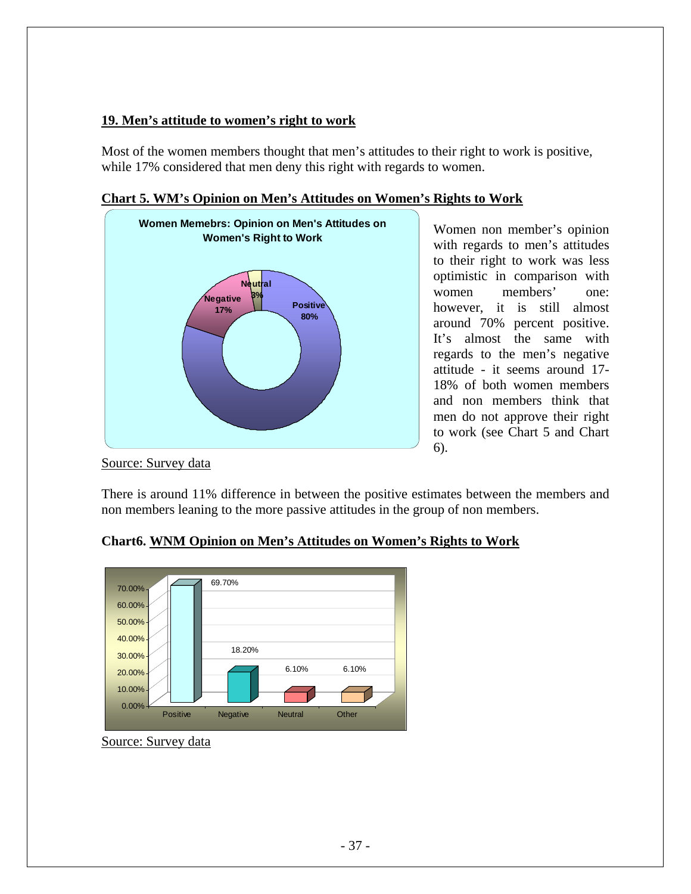## **19. Men's attitude to women's right to work**

Most of the women members thought that men's attitudes to their right to work is positive, while 17% considered that men deny this right with regards to women.



### **Chart 5. WM's Opinion on Men's Attitudes on Women's Rights to Work**

Women non member's opinion with regards to men's attitudes to their right to work was less optimistic in comparison with women members' one: however, it is still almost around 70% percent positive. It's almost the same with regards to the men's negative attitude - it seems around 17- 18% of both women members and non members think that men do not approve their right to work (see Chart 5 and Chart 6).

Source: Survey data

There is around 11% difference in between the positive estimates between the members and non members leaning to the more passive attitudes in the group of non members.



## **hart6. WNM Opinion on Men's Attitudes on Women's Rights to Work C**

Source: Survey data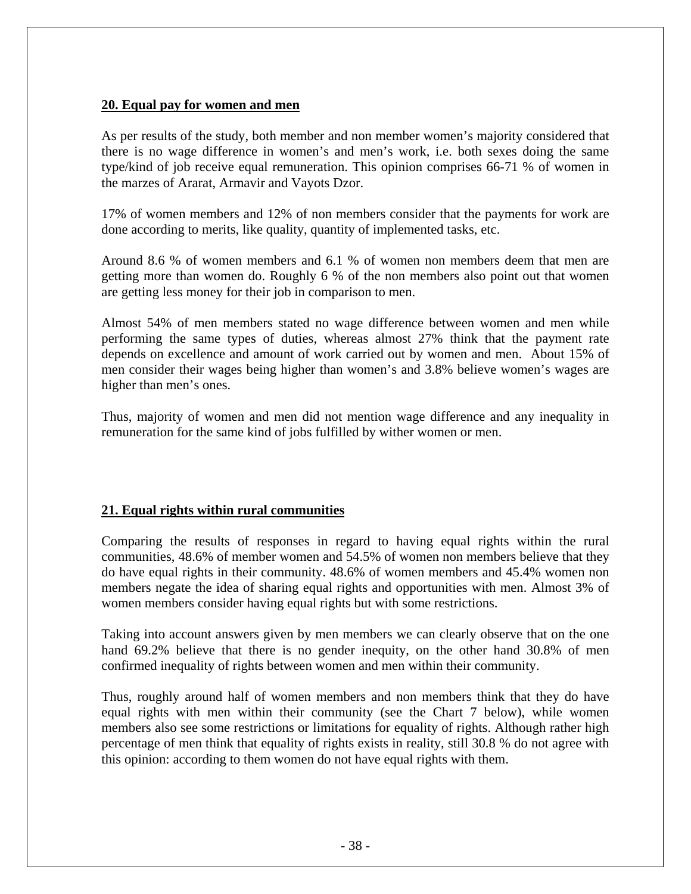#### **20. Equal pay for women and men**

As per results of the study, both member and non member women's majority considered that there is no wage difference in women's and men's work, i.e. both sexes doing the same type/kind of job receive equal remuneration. This opinion comprises 66-71 % of women in the marzes of Ararat, Armavir and Vayots Dzor.

7% of women members and 12% of non members consider that the payments for work are 1 done according to merits, like quality, quantity of implemented tasks, etc.

Around 8.6 % of women members and 6.1 % of women non members deem that men are getting more than women do. Roughly 6 % of the non members also point out that women are getting less money for their job in comparison to men.

Almost 54% of men members stated no wage difference between women and men while performing the same types of duties, whereas almost 27% think that the payment rate depends on excellence and amount of work carried out by women and men. About 15% of men consider their wages being higher than women's and 3.8% believe women's wages are higher than men's ones.

Thus, majority of women and men did not mention wage difference and any inequality in remuneration for the same kind of jobs fulfilled by wither women or men.

### **1. Equal rights within rural communities 2**

Comparing the results of responses in regard to having equal rights within the rural communities, 48.6% of member women and 54.5% of women non members believe that they do have equal rights in their community. 48.6% of women members and 45.4% women non members negate the idea of sharing equal rights and opportunities with men. Almost 3% of women members consider having equal rights but with some restrictions.

Taking into account answers given by men members we can clearly observe that on the one hand 69.2% believe that there is no gender inequity, on the other hand 30.8% of men confirmed inequality of rights between women and men within their community.

Thus, roughly around half of women members and non members think that they do have equal rights with men within their community (see the Chart 7 below), while women members also see some restrictions or limitations for equality of rights. Although rather high percentage of men think that equality of rights exists in reality, still 30.8 % do not agree with this opinion: according to them women do not have equal rights with them.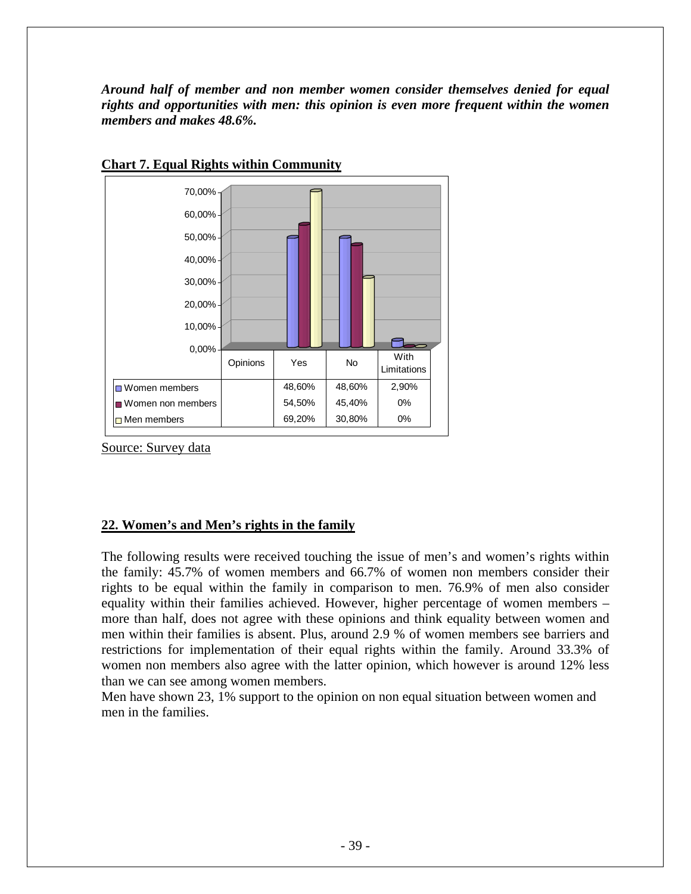*Around half of member and non member women consider themselves denied for equal rights and opportunities with men: this opinion is even more frequent within the women members and makes 48.6%.* 



### **Chart 7. Equal Rights within Community**

Source: Survey data

### **22. Women's and Men's rights in the family**

The following results were received touching the issue of men's and women's rights within the family: 45.7% of women members and 66.7% of women non members consider their rights to be equal within the family in comparison to men. 76.9% of men also consider equality within their families achieved. However, higher percentage of women members – more than half, does not agree with these opinions and think equality between women and men within their families is absent. Plus, around 2.9 % of women members see barriers and restrictions for implementation of their equal rights within the family. Around 33.3% of women non members also agree with the latter opinion, which however is around 12% less than we can see among women members.

Men have shown 23, 1% support to the opinion on non equal situation between women and men in the families.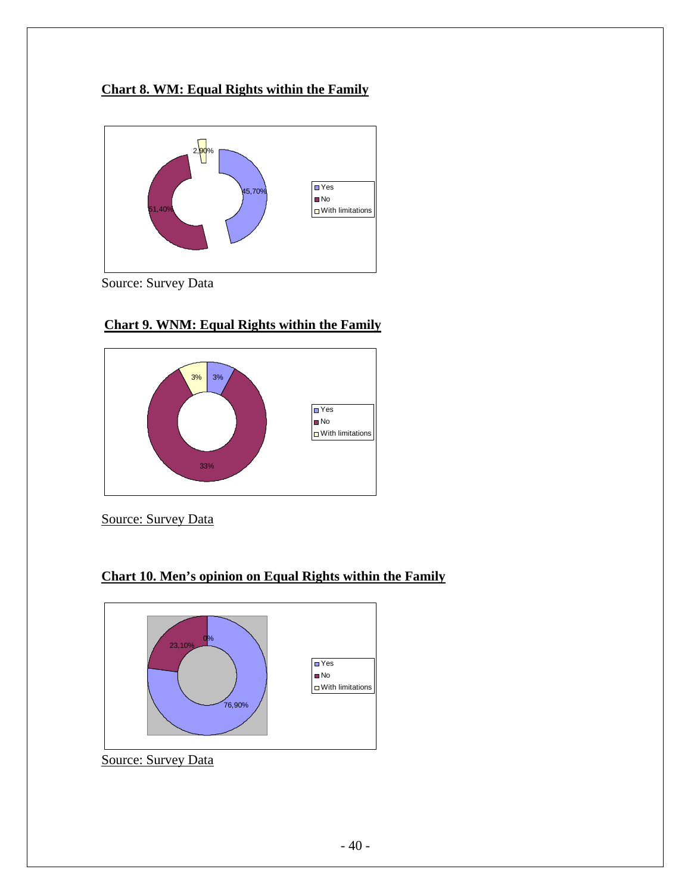## **Chart 8. WM: Equal Rights within the Family**



Source: Survey Data



## **Chart 9. WNM: Equal Rights within the Family**

Source: Survey Data

## **Chart 10. Men's opinion on Equal Rights within the Family**



Source: Survey Data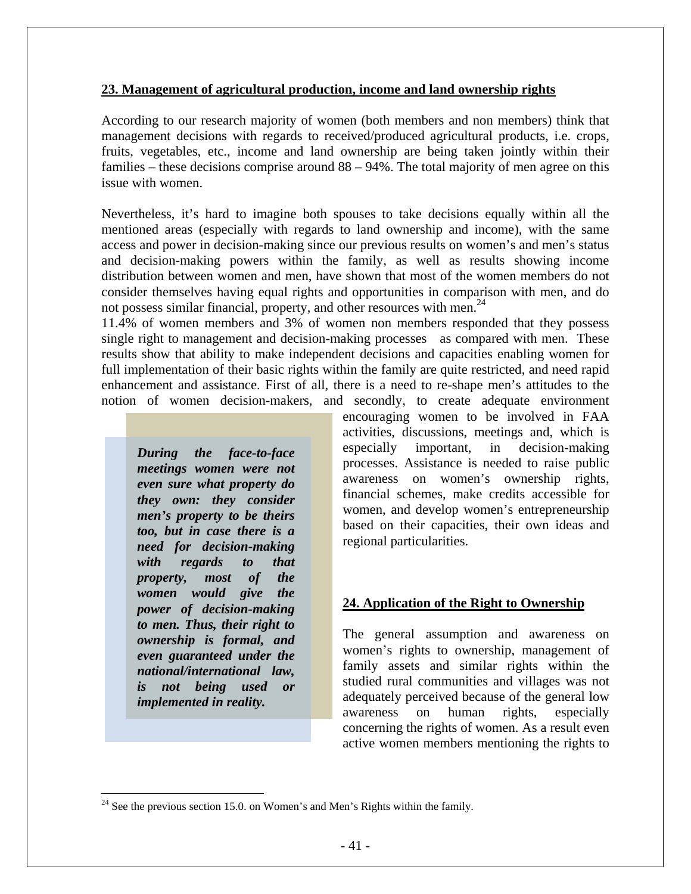#### **23. Management of agricultural production, income and land ownership rights**

According to our research majority of women (both members and non members) think that management decisions with regards to received/produced agricultural products, i.e. crops, fruits, vegetables, etc., income and land ownership are being taken jointly within their families – these decisions comprise around 88 – 94%. The total majority of men agree on this issue with women.

Nevertheless, it's hard to imagine both spouses to take decisions equally within all the mentioned areas (especially with regards to land ownership and income), with the same access and power in decision-making since our previous results on women's and men's status and decision-making powers within the family, as well as results showing income distribution between women and men, have shown that most of the women members do not consider themselves having equal rights and opportunities in comparison with men, and do not possess similar financial, property, and other resources with men.<sup>24</sup>

11.4% of women members and 3% of women non members responded that they possess single right to management and decision-making processes as compared with men. These results show that ability to make independent decisions and capacities enabling women for full implementation of their basic rights within the family are quite restricted, and need rapid enhancement and assistance. First of all, there is a need to re-shape men's attitudes to the notion of women decision-makers, and secondly, to create adequate environment

*During the face-to-face meetings women were not even sure what property do they own: they consider men's property to be theirs too, but in case there is a need for decision-making with regards to that property, most of the women would give the power of decision-making to men. Thus, their right to ownership is formal, and even guaranteed under the national/international law, is not being used or implemented in reality.* 

<u>.</u>

encouraging women to be involved in FAA activities, discussions, meetings and, which is especially important, in decision-making processes. Assistance is needed to raise public awareness on women's ownership rights, financial schemes, make credits accessible for women, and develop women's entrepreneurship based on their capacities, their own ideas and regional particularities.

### **24. Application of the Right to Ownership**

The general assumption and awareness on women's rights to ownership, management of family assets and similar rights within the studied rural communities and villages was not adequately perceived because of the general low awareness on human rights, especially concerning the rights of women. As a result even active women members mentioning the rights to

<span id="page-40-0"></span> $24$  See the previous section 15.0. on Women's and Men's Rights within the family.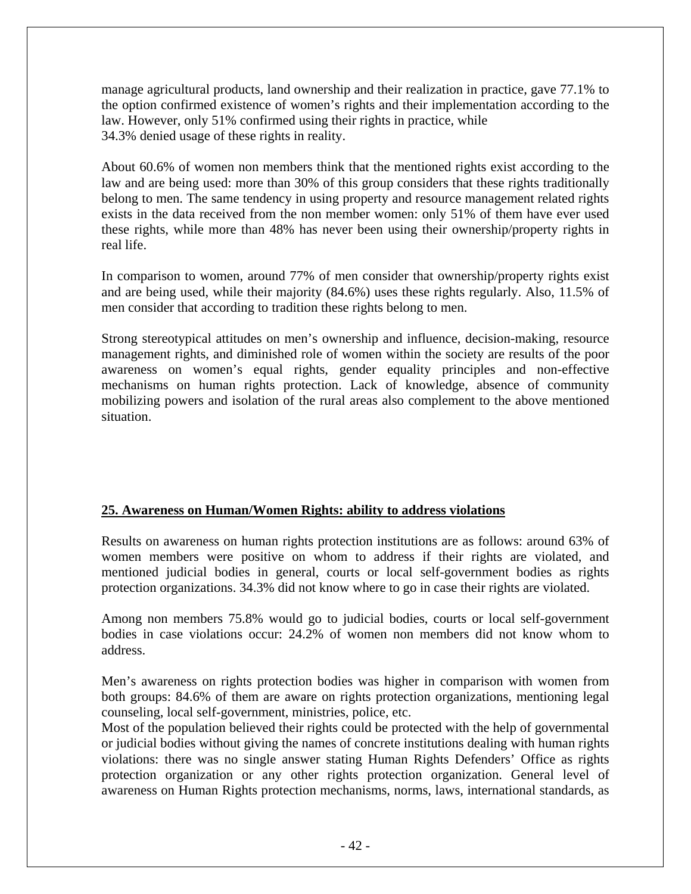manage agricultural products, land ownership and their realization in practice, gave 77.1% to the option confirmed existence of women's rights and their implementation according to the law. However, only 51% confirmed using their rights in practice, while 34.3% denied usage of these rights in reality.

About 60.6% of women non members think that the mentioned rights exist according to the law and are being used: more than 30% of this group considers that these rights traditionally belong to men. The same tendency in using property and resource management related rights exists in the data received from the non member women: only 51% of them have ever used these rights, while more than 48% has never been using their ownership/property rights in real life.

In comparison to women, around 77% of men consider that ownership/property rights exist and are being used, while their majority (84.6%) uses these rights regularly. Also, 11.5% of men consider that according to tradition these rights belong to men.

Strong stereotypical attitudes on men's ownership and influence, decision-making, resource management rights, and diminished role of women within the society are results of the poor awareness on women's equal rights, gender equality principles and non-effective mechanisms on human rights protection. Lack of knowledge, absence of community mobilizing powers and isolation of the rural areas also complement to the above mentioned situation.

## **25. Awareness on Human/Women Rights: ability to address violations**

Results on awareness on human rights protection institutions are as follows: around 63% of women members were positive on whom to address if their rights are violated, and mentioned judicial bodies in general, courts or local self-government bodies as rights protection organizations. 34.3% did not know where to go in case their rights are violated.

Among non members 75.8% would go to judicial bodies, courts or local self-government bodies in case violations occur: 24.2% of women non members did not know whom to address.

Men's awareness on rights protection bodies was higher in comparison with women from both groups: 84.6% of them are aware on rights protection organizations, mentioning legal counseling, local self-government, ministries, police, etc.

Most of the population believed their rights could be protected with the help of governmental or judicial bodies without giving the names of concrete institutions dealing with human rights violations: there was no single answer stating Human Rights Defenders' Office as rights protection organization or any other rights protection organization. General level of awareness on Human Rights protection mechanisms, norms, laws, international standards, as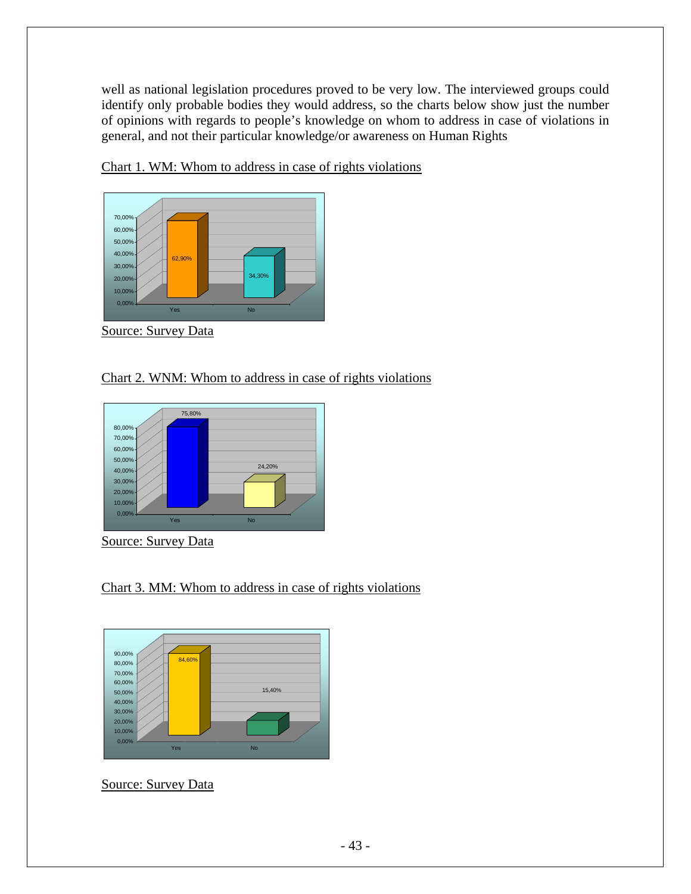well as national legislation procedures proved to be very low. The interviewed groups could identify only probable bodies they would address, so the charts below show just the number of opinions with regards to people's knowledge on whom to address in case of violations in general, and not their particular knowledge/or awareness on Human Rights



Chart 1. WM: Whom to address in case of rights violations

Source: Survey Data

### Chart 2. WNM: Whom to address in case of rights violations



Source: Survey Data

Chart 3. MM: Whom to address in case of rights violations



Source: Survey Data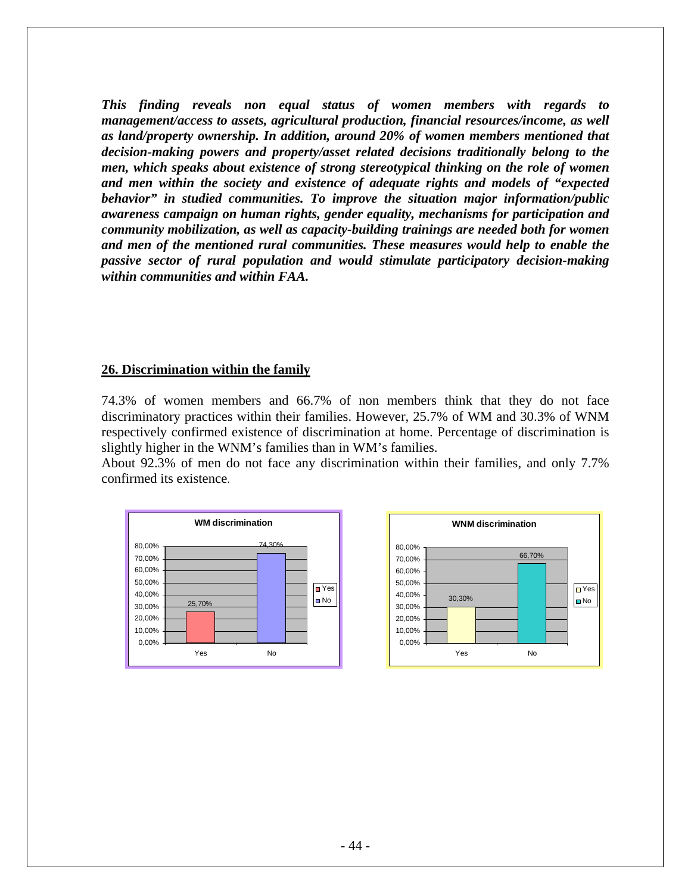*This finding reveals non equal status of women members with regards to management/access to assets, agricultural production, financial resources/income, as well as land/property ownership. In addition, around 20% of women members mentioned that decision-making powers and property/asset related decisions traditionally belong to the men, which speaks about existence of strong stereotypical thinking on the role of women and men within the society and existence of adequate rights and models of "expected behavior" in studied communities. To improve the situation major information/public awareness campaign on human rights, gender equality, mechanisms for participation and community mobilization, as well as capacity-building trainings are needed both for women and men of the mentioned rural communities. These measures would help to enable the passive sector of rural population and would stimulate participatory decision-making within communities and within FAA.* 

#### **26. Discrimination within the family**

74.3% of women members and 66.7% of non members think that they do not face discriminatory practices within their families. However, 25.7% of WM and 30.3% of WNM respectively confirmed existence of discrimination at home. Percentage of discrimination is slightly higher in the WNM's families than in WM's families.

About 92.3% of men do not face any discrimination within their families, and only 7.7% confirmed its existence.



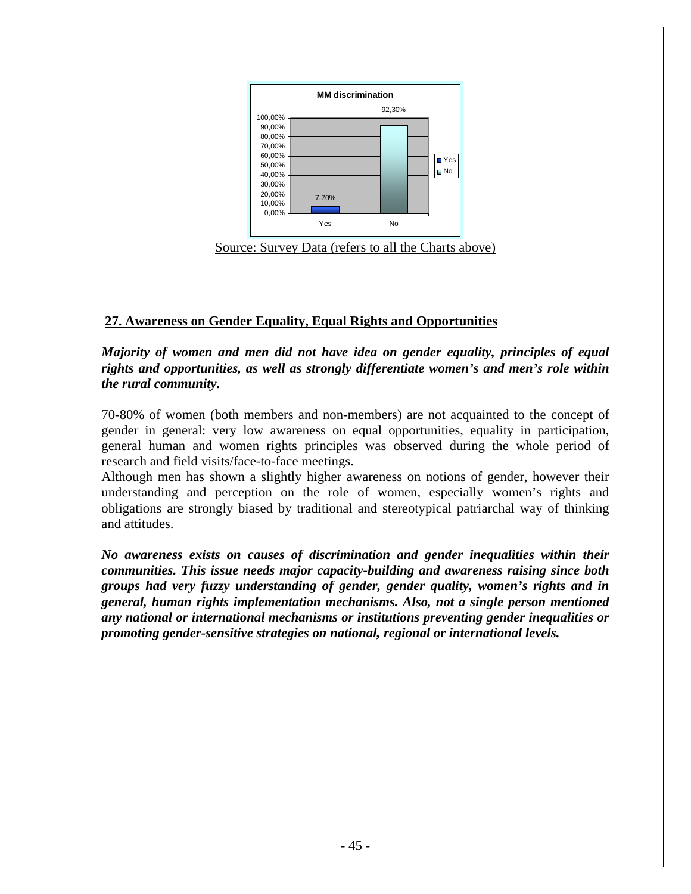

Source: Survey Data (refers to all the Charts above)

## **27. Awareness on Gender Equality, Equal Rights and Opportunities**

*Majority of women and men did not have idea on gender equality, principles of equal rights and opportunities, as well as strongly differentiate women's and men's role within the rural community.* 

70-80% of women (both members and non-members) are not acquainted to the concept of gender in general: very low awareness on equal opportunities, equality in participation, general human and women rights principles was observed during the whole period of research and field visits/face-to-face meetings.

Although men has shown a slightly higher awareness on notions of gender, however their understanding and perception on the role of women, especially women's rights and obligations are strongly biased by traditional and stereotypical patriarchal way of thinking and attitudes.

*No awareness exists on causes of discrimination and gender inequalities within their communities. This issue needs major capacity-building and awareness raising since both groups had very fuzzy understanding of gender, gender quality, women's rights and in general, human rights implementation mechanisms. Also, not a single person mentioned any national or international mechanisms or institutions preventing gender inequalities or promoting gender-sensitive strategies on national, regional or international levels.*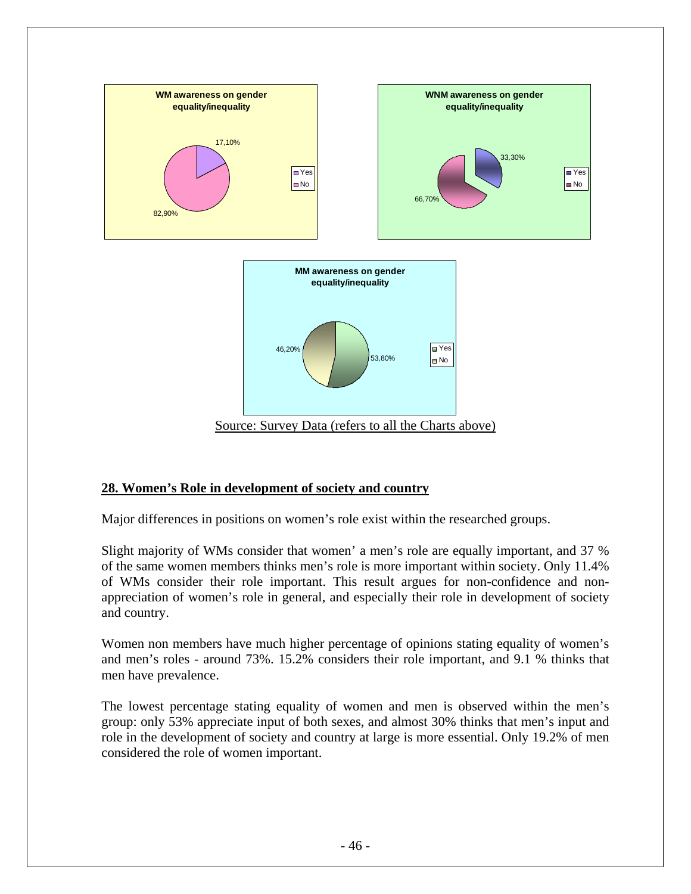

### **28. Women's Role in development of society and country**

Major differences in positions on women's role exist within the researched groups.

Slight majority of WMs consider that women' a men's role are equally important, and 37 % of the same women members thinks men's role is more important within society. Only 11.4% of WMs consider their role important. This result argues for non-confidence and nonappreciation of women's role in general, and especially their role in development of society and country.

Women non members have much higher percentage of opinions stating equality of women's and men's roles - around 73%. 15.2% considers their role important, and 9.1 % thinks that men have prevalence.

The lowest percentage stating equality of women and men is observed within the men's group: only 53% appreciate input of both sexes, and almost 30% thinks that men's input and role in the development of society and country at large is more essential. Only 19.2% of men considered the role of women important.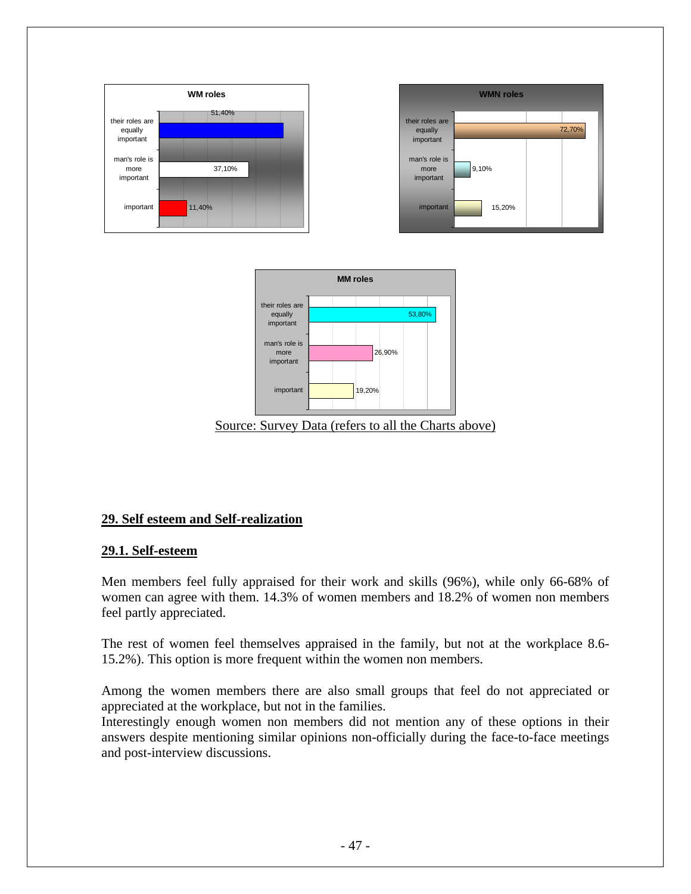

# **29. Self esteem and Self-realization**

## **29.1. Self-esteem**

Men members feel fully appraised for their work and skills (96%), while only 66-68% of women can agree with them. 14.3% of women members and 18.2% of women non members feel partly appreciated.

The rest of women feel themselves appraised in the family, but not at the workplace 8.6- 15.2%). This option is more frequent within the women non members.

Among the women members there are also small groups that feel do not appreciated or appreciated at the workplace, but not in the families.

Interestingly enough women non members did not mention any of these options in their answers despite mentioning similar opinions non-officially during the face-to-face meetings and post-interview discussions.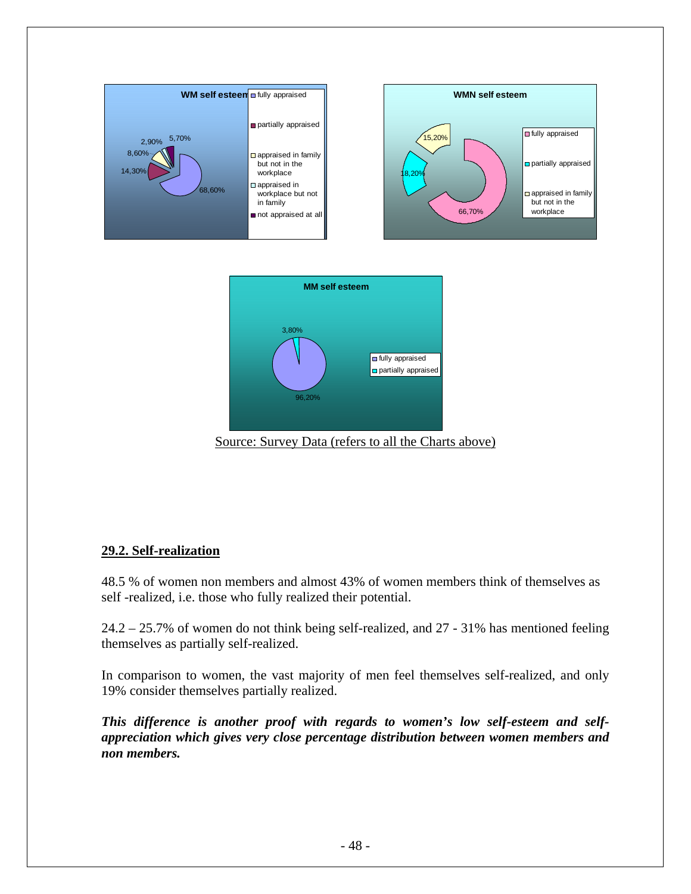

Source: Survey Data (refers to all the Charts above)

### **29.2. Self-realization**

48.5 % of women non members and almost 43% of women members think of themselves as self -realized, i.e. those who fully realized their potential.

24.2 – 25.7% of women do not think being self-realized, and 27 - 31% has mentioned feeling themselves as partially self-realized.

In comparison to women, the vast majority of men feel themselves self-realized, and only 19% consider themselves partially realized.

*This difference is another proof with regards to women's low self-esteem and selfappreciation which gives very close percentage distribution between women members and non members.*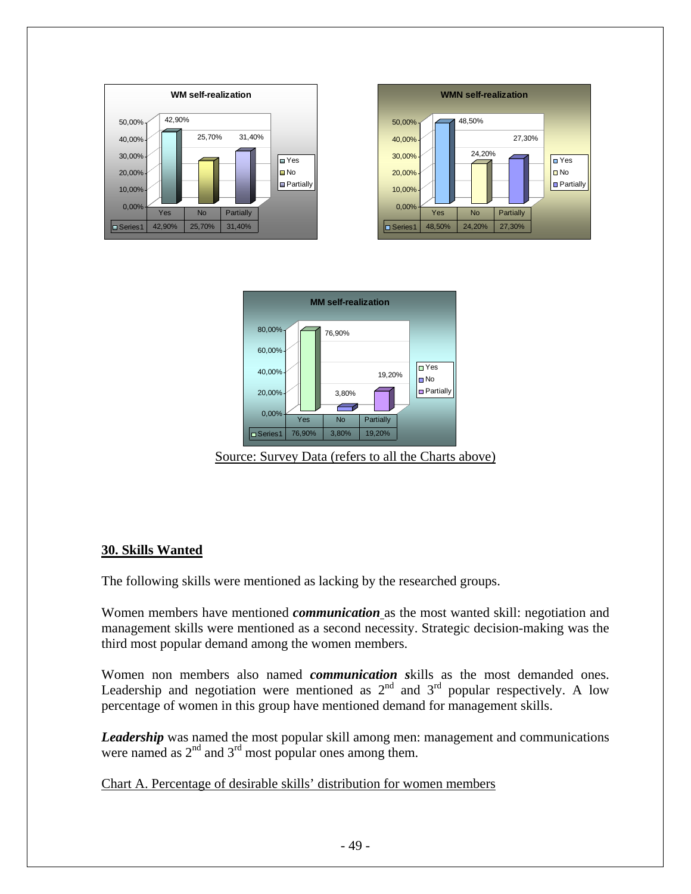



Source: Survey Data (refers to all the Charts above)

### **30. Skills Wanted**

The following skills were mentioned as lacking by the researched groups.

Women members have mentioned *communication* as the most wanted skill: negotiation and management skills were mentioned as a second necessity. Strategic decision-making was the third most popular demand among the women members.

Women non members also named *communication s*kills as the most demanded ones. Leadership and negotiation were mentioned as  $2<sup>nd</sup>$  and  $3<sup>rd</sup>$  popular respectively. A low percentage of women in this group have mentioned demand for management skills.

*Leadership* was named the most popular skill among men: management and communications were named as  $2<sup>nd</sup>$  and  $3<sup>rd</sup>$  most popular ones among them.

Chart A. Percentage of desirable skills' distribution for women members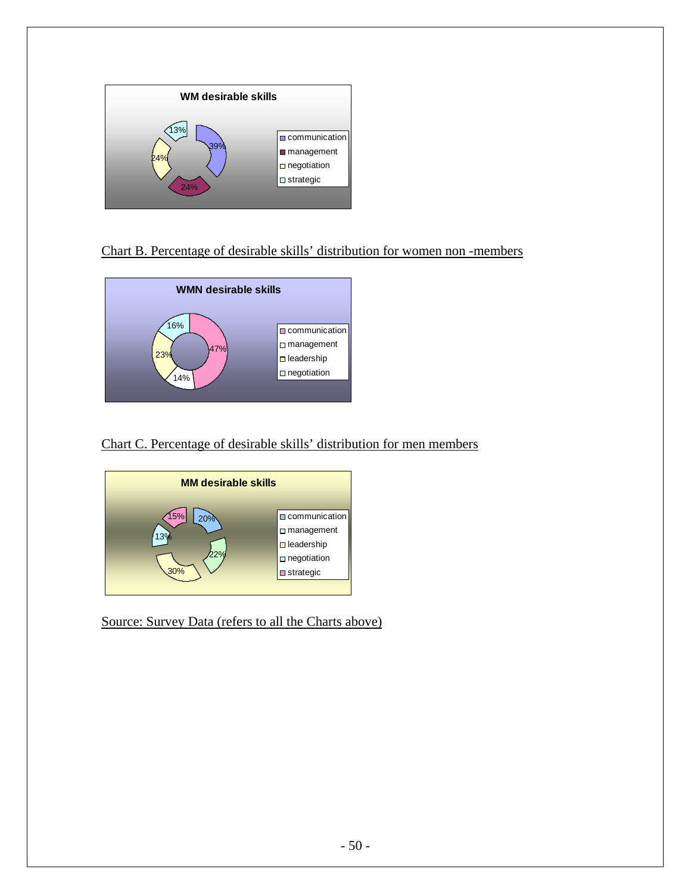

## Chart B. Percentage of desirable skills' distribution for women non -members



Chart C. Percentage of desirable skills' distribution for men members



Source: Survey Data (refers to all the Charts above)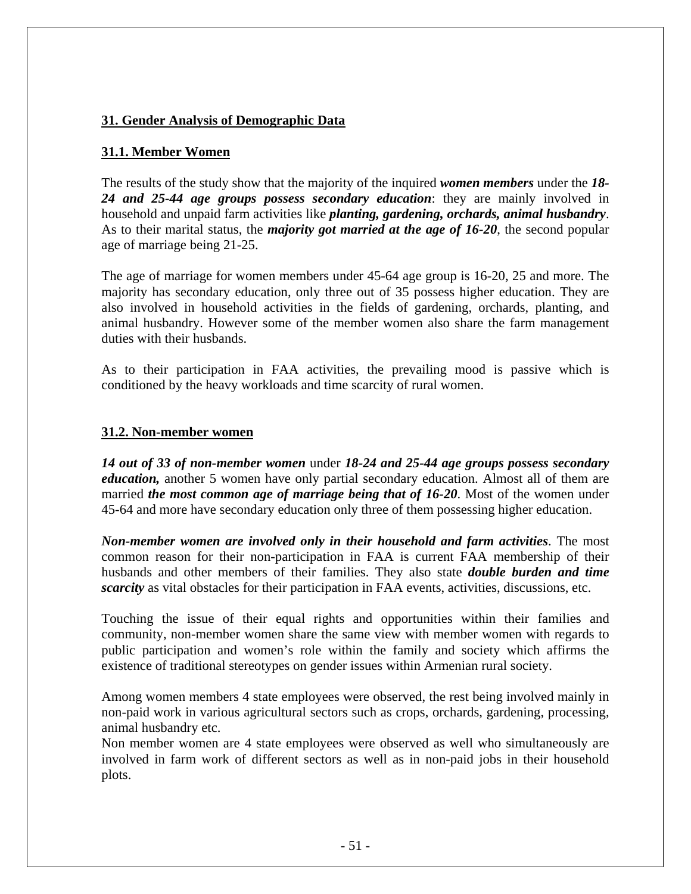## **31. Gender Analysis of Demographic Data**

## **31.1. Member Women**

The results of the study show that the majority of the inquired *women members* under the *18- 24 and 25-44 age groups possess secondary education*: they are mainly involved in household and unpaid farm activities like *planting, gardening, orchards, animal husbandry*. As to their marital status, the *majority got married at the age of 16-20*, the second popular age of marriage being 21-25.

The age of marriage for women members under 45-64 age group is 16-20, 25 and more. The majority has secondary education, only three out of 35 possess higher education. They are also involved in household activities in the fields of gardening, orchards, planting, and animal husbandry. However some of the member women also share the farm management duties with their husbands.

As to their participation in FAA activities, the prevailing mood is passive which is conditioned by the heavy workloads and time scarcity of rural women.

#### **31.2. Non-member women**

*14 out of 33 of non-member women* under *18-24 and 25-44 age groups possess secondary education,* another 5 women have only partial secondary education. Almost all of them are married *the most common age of marriage being that of 16-20*. Most of the women under 45-64 and more have secondary education only three of them possessing higher education.

*Non-member women are involved only in their household and farm activities*. The most common reason for their non-participation in FAA is current FAA membership of their husbands and other members of their families. They also state *double burden and time scarcity* as vital obstacles for their participation in FAA events, activities, discussions, etc.

Touching the issue of their equal rights and opportunities within their families and community, non-member women share the same view with member women with regards to public participation and women's role within the family and society which affirms the existence of traditional stereotypes on gender issues within Armenian rural society.

Among women members 4 state employees were observed, the rest being involved mainly in non-paid work in various agricultural sectors such as crops, orchards, gardening, processing, animal husbandry etc.

Non member women are 4 state employees were observed as well who simultaneously are involved in farm work of different sectors as well as in non-paid jobs in their household plots.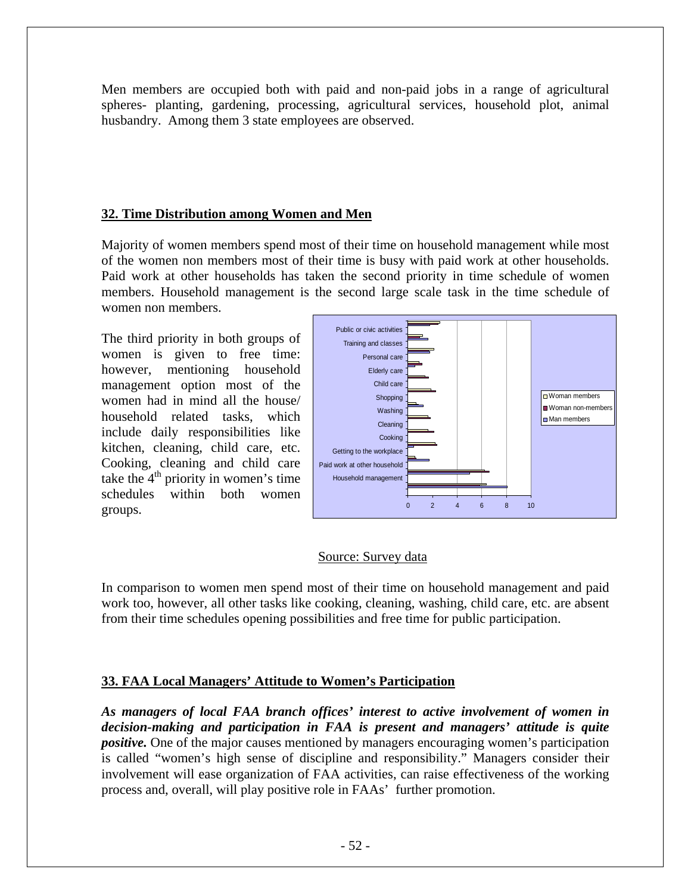Men members are occupied both with paid and non-paid jobs in a range of agricultural spheres- planting, gardening, processing, agricultural services, household plot, animal husbandry. Among them 3 state employees are observed.

## **32. Time Distribution among Women and Men**

Majority of women members spend most of their time on household management while most of the women non members most of their time is busy with paid work at other households. Paid work at other households has taken the second priority in time schedule of women members. Household management is the second large scale task in the time schedule of women non members.

The third priority in both groups of women is given to free time: however, mentioning household management option most of the women had in mind all the house/ household related tasks, which include daily responsibilities like kitchen, cleaning, child care, etc. Cooking, cleaning and child care take the  $4<sup>th</sup>$  priority in women's time schedules within both women groups.



### Source: Survey data

In comparison to women men spend most of their time on household management and paid work too, however, all other tasks like cooking, cleaning, washing, child care, etc. are absent from their time schedules opening possibilities and free time for public participation.

### **33. FAA Local Managers' Attitude to Women's Participation**

*As managers of local FAA branch offices' interest to active involvement of women in decision-making and participation in FAA is present and managers' attitude is quite positive.* One of the major causes mentioned by managers encouraging women's participation is called "women's high sense of discipline and responsibility." Managers consider their involvement will ease organization of FAA activities, can raise effectiveness of the working process and, overall, will play positive role in FAAs' further promotion.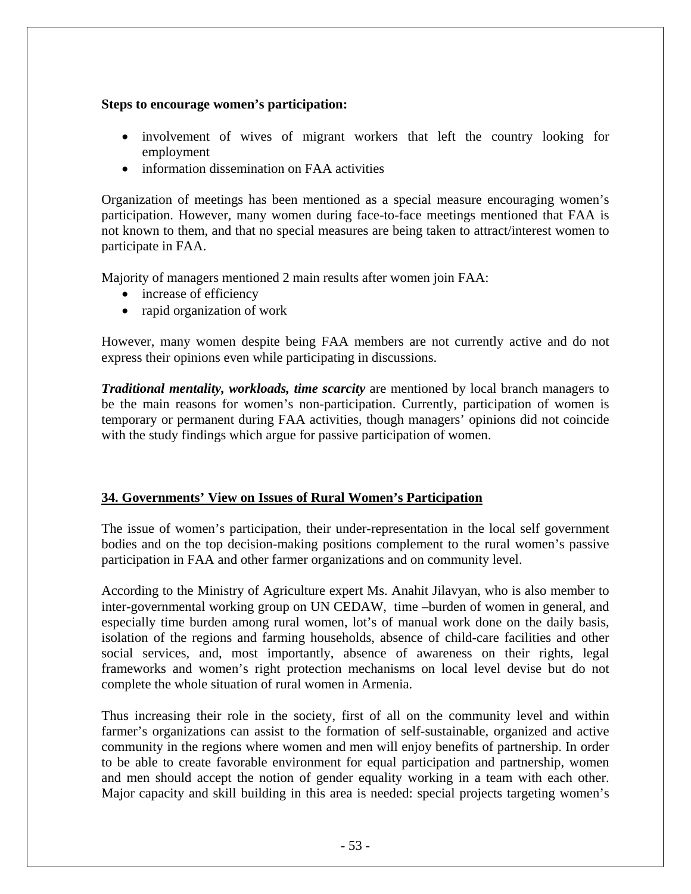#### **Steps to encourage women's participation:**

- involvement of wives of migrant workers that left the country looking for employment
- information dissemination on FAA activities

Organization of meetings has been mentioned as a special measure encouraging women's participation. However, many women during face-to-face meetings mentioned that FAA is not known to them, and that no special measures are being taken to attract/interest women to participate in FAA.

Majority of managers mentioned 2 main results after women join FAA:

- increase of efficiency
- rapid organization of work

However, many women despite being FAA members are not currently active and do not express their opinions even while participating in discussions.

*Traditional mentality, workloads, time scarcity* are mentioned by local branch managers to be the main reasons for women's non-participation. Currently, participation of women is temporary or permanent during FAA activities, though managers' opinions did not coincide with the study findings which argue for passive participation of women.

### **34. Governments' View on Issues of Rural Women's Participation**

The issue of women's participation, their under-representation in the local self government bodies and on the top decision-making positions complement to the rural women's passive participation in FAA and other farmer organizations and on community level.

According to the Ministry of Agriculture expert Ms. Anahit Jilavyan, who is also member to inter-governmental working group on UN CEDAW, time –burden of women in general, and especially time burden among rural women, lot's of manual work done on the daily basis, isolation of the regions and farming households, absence of child-care facilities and other social services, and, most importantly, absence of awareness on their rights, legal frameworks and women's right protection mechanisms on local level devise but do not complete the whole situation of rural women in Armenia.

Thus increasing their role in the society, first of all on the community level and within farmer's organizations can assist to the formation of self-sustainable, organized and active community in the regions where women and men will enjoy benefits of partnership. In order to be able to create favorable environment for equal participation and partnership, women and men should accept the notion of gender equality working in a team with each other. Major capacity and skill building in this area is needed: special projects targeting women's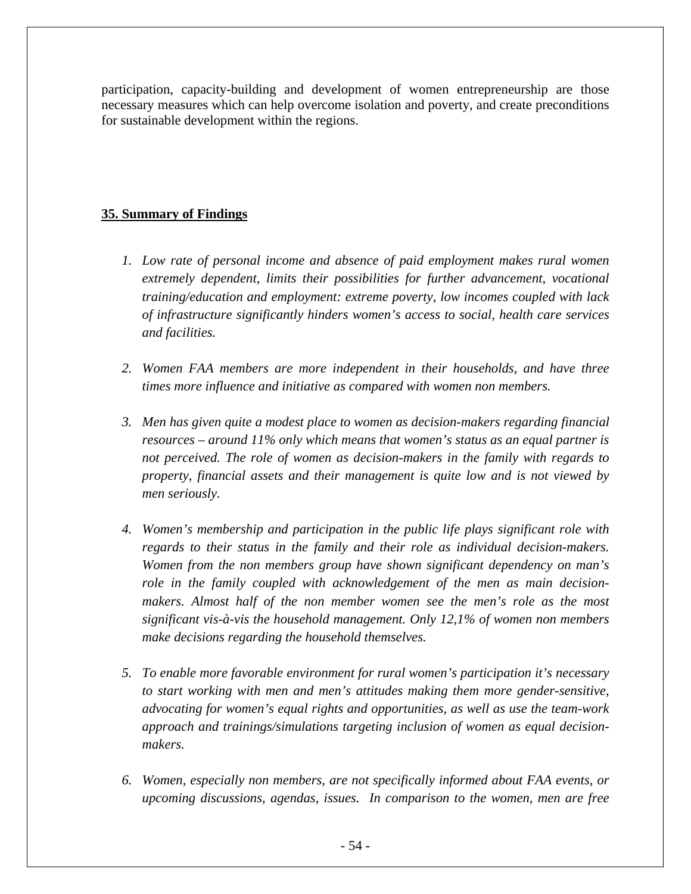participation, capacity-building and development of women entrepreneurship are those necessary measures which can help overcome isolation and poverty, and create preconditions for sustainable development within the regions.

## **35. Summary of Findings**

- *1. Low rate of personal income and absence of paid employment makes rural women extremely dependent, limits their possibilities for further advancement, vocational training/education and employment: extreme poverty, low incomes coupled with lack of infrastructure significantly hinders women's access to social, health care services and facilities.*
- *2. Women FAA members are more independent in their households, and have three times more influence and initiative as compared with women non members.*
- *3. Men has given quite a modest place to women as decision-makers regarding financial resources – around 11% only which means that women's status as an equal partner is not perceived. The role of women as decision-makers in the family with regards to property, financial assets and their management is quite low and is not viewed by men seriously.*
- *4. Women's membership and participation in the public life plays significant role with regards to their status in the family and their role as individual decision-makers. Women from the non members group have shown significant dependency on man's role in the family coupled with acknowledgement of the men as main decisionmakers. Almost half of the non member women see the men's role as the most significant vis-à-vis the household management. Only 12,1% of women non members make decisions regarding the household themselves.*
- *5. To enable more favorable environment for rural women's participation it's necessary to start working with men and men's attitudes making them more gender-sensitive, advocating for women's equal rights and opportunities, as well as use the team-work approach and trainings/simulations targeting inclusion of women as equal decisionmakers.*
- *6. Women, especially non members, are not specifically informed about FAA events, or upcoming discussions, agendas, issues. In comparison to the women, men are free*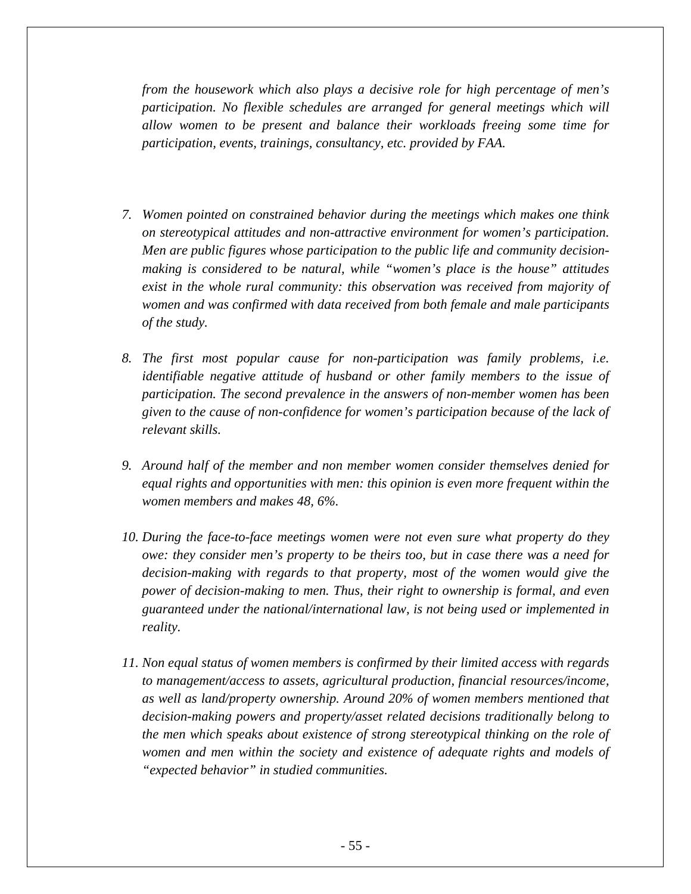*from the housework which also plays a decisive role for high percentage of men's participation. No flexible schedules are arranged for general meetings which will allow women to be present and balance their workloads freeing some time for participation, events, trainings, consultancy, etc. provided by FAA.* 

- *7. Women pointed on constrained behavior during the meetings which makes one think on stereotypical attitudes and non-attractive environment for women's participation. Men are public figures whose participation to the public life and community decisionmaking is considered to be natural, while "women's place is the house" attitudes exist in the whole rural community: this observation was received from majority of women and was confirmed with data received from both female and male participants of the study.*
- *8. The first most popular cause for non-participation was family problems, i.e. identifiable negative attitude of husband or other family members to the issue of participation. The second prevalence in the answers of non-member women has been given to the cause of non-confidence for women's participation because of the lack of relevant skills.*
- *9. Around half of the member and non member women consider themselves denied for equal rights and opportunities with men: this opinion is even more frequent within the women members and makes 48, 6%.*
- *10. During the face-to-face meetings women were not even sure what property do they owe: they consider men's property to be theirs too, but in case there was a need for decision-making with regards to that property, most of the women would give the power of decision-making to men. Thus, their right to ownership is formal, and even guaranteed under the national/international law, is not being used or implemented in reality.*
- *11. Non equal status of women members is confirmed by their limited access with regards to management/access to assets, agricultural production, financial resources/income, as well as land/property ownership. Around 20% of women members mentioned that decision-making powers and property/asset related decisions traditionally belong to the men which speaks about existence of strong stereotypical thinking on the role of*  women and men within the society and existence of adequate rights and models of *"expected behavior" in studied communities.*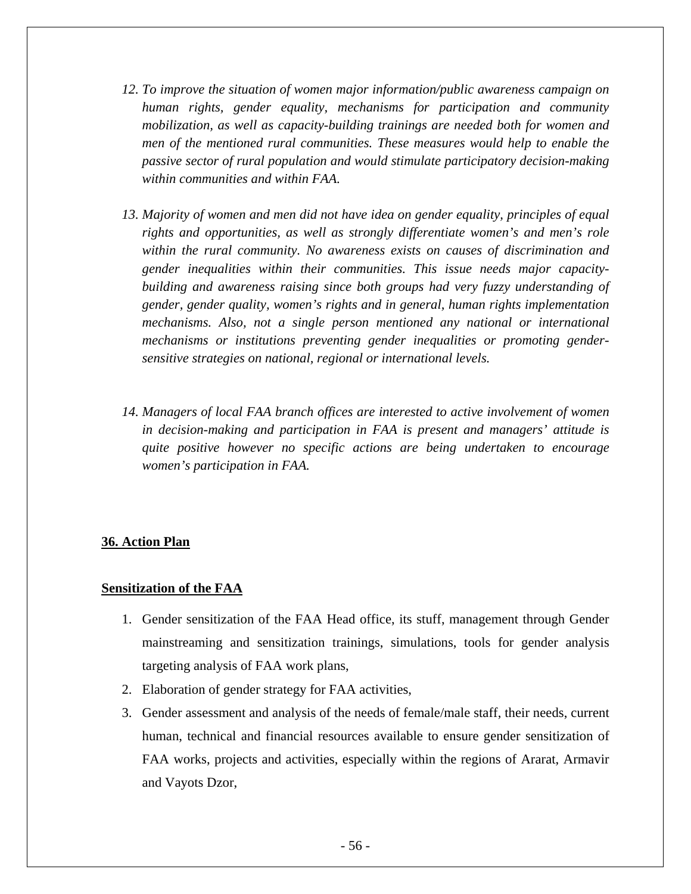- *12. To improve the situation of women major information/public awareness campaign on human rights, gender equality, mechanisms for participation and community mobilization, as well as capacity-building trainings are needed both for women and men of the mentioned rural communities. These measures would help to enable the passive sector of rural population and would stimulate participatory decision-making within communities and within FAA.*
- *13. Majority of women and men did not have idea on gender equality, principles of equal rights and opportunities, as well as strongly differentiate women's and men's role within the rural community. No awareness exists on causes of discrimination and gender inequalities within their communities. This issue needs major capacitybuilding and awareness raising since both groups had very fuzzy understanding of gender, gender quality, women's rights and in general, human rights implementation mechanisms. Also, not a single person mentioned any national or international mechanisms or institutions preventing gender inequalities or promoting gendersensitive strategies on national, regional or international levels.*
- *14. Managers of local FAA branch offices are interested to active involvement of women in decision-making and participation in FAA is present and managers' attitude is quite positive however no specific actions are being undertaken to encourage women's participation in FAA.*

#### **36. Action Plan**

#### **Sensitization of the FAA**

- 1. Gender sensitization of the FAA Head office, its stuff, management through Gender mainstreaming and sensitization trainings, simulations, tools for gender analysis targeting analysis of FAA work plans,
- 2. Elaboration of gender strategy for FAA activities,
- 3. Gender assessment and analysis of the needs of female/male staff, their needs, current human, technical and financial resources available to ensure gender sensitization of FAA works, projects and activities, especially within the regions of Ararat, Armavir and Vayots Dzor,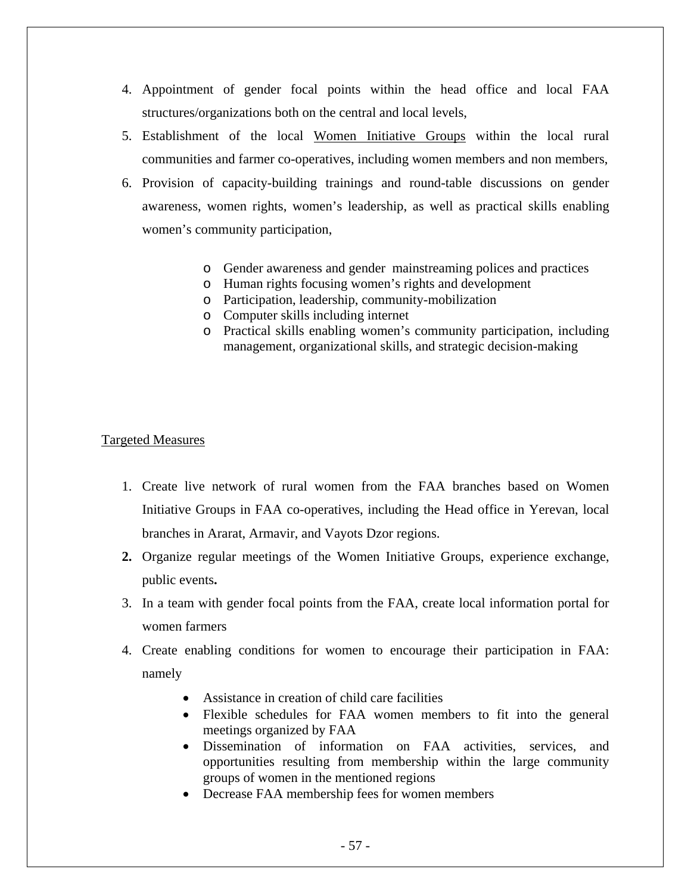- 4. Appointment of gender focal points within the head office and local FAA structures/organizations both on the central and local levels,
- 5. Establishment of the local Women Initiative Groups within the local rural communities and farmer co-operatives, including women members and non members,
- 6. Provision of capacity-building trainings and round-table discussions on gender awareness, women rights, women's leadership, as well as practical skills enabling women's community participation,
	- o Gender awareness and gender mainstreaming polices and practices
	- o Human rights focusing women's rights and development
	- o Participation, leadership, community-mobilization
	- o Computer skills including internet
	- o Practical skills enabling women's community participation, including management, organizational skills, and strategic decision-making

#### Targeted Measures

- 1. Create live network of rural women from the FAA branches based on Women Initiative Groups in FAA co-operatives, including the Head office in Yerevan, local branches in Ararat, Armavir, and Vayots Dzor regions.
- **2.** Organize regular meetings of the Women Initiative Groups, experience exchange, public events**.**
- 3. In a team with gender focal points from the FAA, create local information portal for women farmers
- 4. Create enabling conditions for women to encourage their participation in FAA: namely
	- Assistance in creation of child care facilities
	- Flexible schedules for FAA women members to fit into the general meetings organized by FAA
	- Dissemination of information on FAA activities, services, and opportunities resulting from membership within the large community groups of women in the mentioned regions
	- Decrease FAA membership fees for women members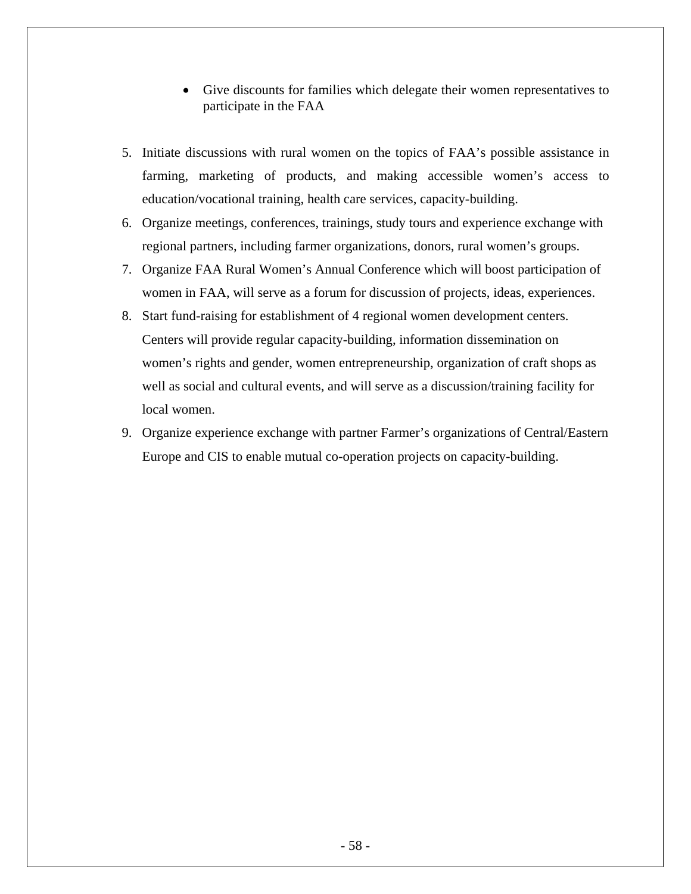- Give discounts for families which delegate their women representatives to participate in the FAA
- 5. Initiate discussions with rural women on the topics of FAA's possible assistance in farming, marketing of products, and making accessible women's access to education/vocational training, health care services, capacity-building.
- 6. Organize meetings, conferences, trainings, study tours and experience exchange with regional partners, including farmer organizations, donors, rural women's groups.
- 7. Organize FAA Rural Women's Annual Conference which will boost participation of women in FAA, will serve as a forum for discussion of projects, ideas, experiences.
- 8. Start fund-raising for establishment of 4 regional women development centers. Centers will provide regular capacity-building, information dissemination on women's rights and gender, women entrepreneurship, organization of craft shops as well as social and cultural events, and will serve as a discussion/training facility for local women.
- 9. Organize experience exchange with partner Farmer's organizations of Central/Eastern Europe and CIS to enable mutual co-operation projects on capacity-building.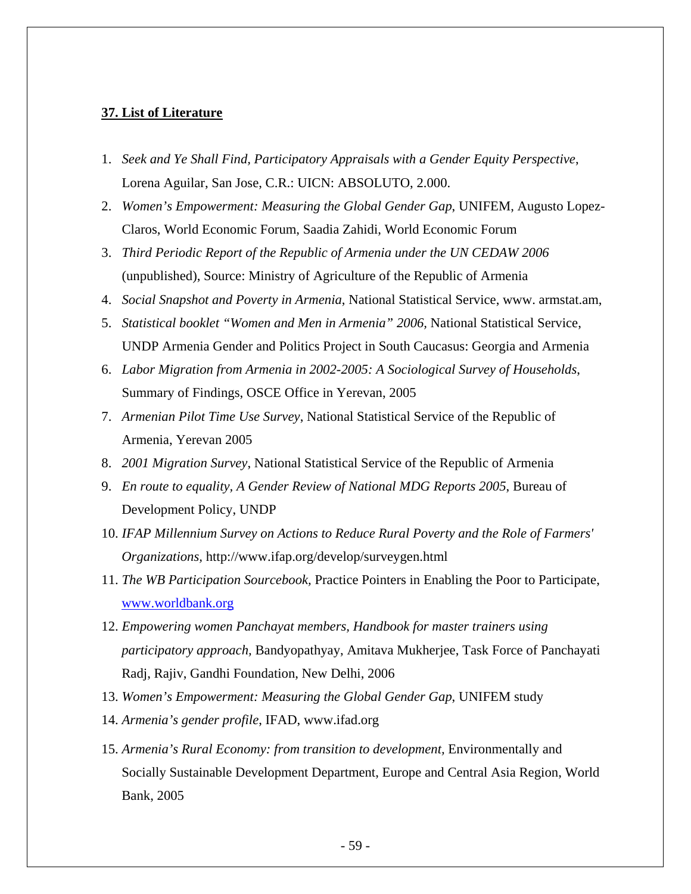#### **37. List of Literature**

- 1. *Seek and Ye Shall Find, Participatory Appraisals with a Gender Equity Perspective*, Lorena Aguilar, San Jose, C.R.: UICN: ABSOLUTO, 2.000.
- 2. *Women's Empowerment: Measuring the Global Gender Gap*, UNIFEM, Augusto Lopez-Claros, World Economic Forum, Saadia Zahidi, World Economic Forum
- 3. *Third Periodic Report of the Republic of Armenia under the UN CEDAW 2006* (unpublished), Source: Ministry of Agriculture of the Republic of Armenia
- 4. *Social Snapshot and Poverty in Armenia*, National Statistical Service, www. armstat.am,
- 5. *Statistical booklet "Women and Men in Armenia" 2006,* National Statistical Service, UNDP Armenia Gender and Politics Project in South Caucasus: Georgia and Armenia
- 6. *Labor Migration from Armenia in 2002-2005: A Sociological Survey of Households*, Summary of Findings, OSCE Office in Yerevan, 2005
- 7. *Armenian Pilot Time Use Survey*, National Statistical Service of the Republic of Armenia, Yerevan 2005
- 8. *2001 Migration Survey*, National Statistical Service of the Republic of Armenia
- 9. *En route to equality, A Gender Review of National MDG Reports 2005*, Bureau of Development Policy, UNDP
- 10. *IFAP Millennium Survey on Actions to Reduce Rural Poverty and the Role of Farmers' Organizations,* <http://www.ifap.org/develop/surveygen.html>
- 11. *The WB Participation Sourcebook,* Practice Pointers in Enabling the Poor to Participate, [www.worldbank.org](http://www.worldbank.org/)
- 12. *Empowering women Panchayat members, Handbook for master trainers using participatory approach,* Bandyopathyay, Amitava Mukherjee, Task Force of Panchayati Radj, Rajiv, Gandhi Foundation, New Delhi, 2006
- 13. *Women's Empowerment: Measuring the Global Gender Gap*, UNIFEM study
- 14. *Armenia's gender profile*, IFAD, www.ifad.org
- 15. *Armenia's Rural Economy: from transition to development,* Environmentally and Socially Sustainable Development Department, Europe and Central Asia Region, World Bank, 2005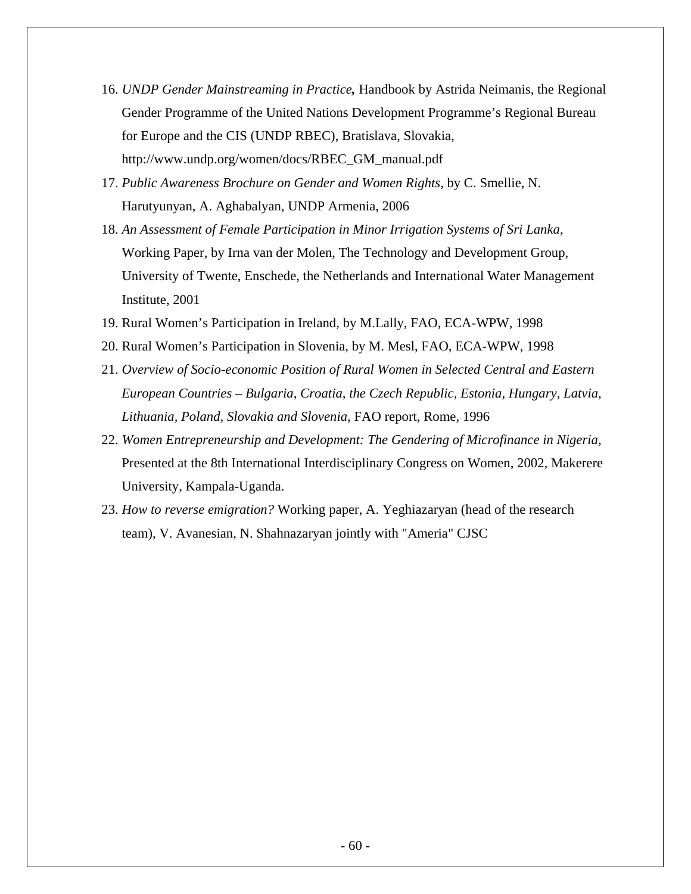- 16. *UNDP Gender Mainstreaming in Practice,* Handbook by Astrida Neimanis, the Regional Gender Programme of the United Nations Development Programme's Regional Bureau for Europe and the CIS (UNDP RBEC), Bratislava, Slovakia, http://www.undp.org/women/docs/RBEC\_GM\_manual.pdf
- 17. *Public Awareness Brochure on Gender and Women Rights*, by C. Smellie, N. Harutyunyan, A. Aghabalyan, UNDP Armenia, 2006
- 18. *An Assessment of Female Participation in Minor Irrigation Systems of Sri Lanka*, Working Paper, by Irna van der Molen, The Technology and Development Group, University of Twente, Enschede, the Netherlands and International Water Management Institute, 2001
- 19. Rural Women's Participation in Ireland, by M.Lally, FAO, ECA-WPW, 1998
- 20. Rural Women's Participation in Slovenia, by M. Mesl, FAO, ECA-WPW, 1998
- 21. *Overview of Socio-economic Position of Rural Women in Selected Central and Eastern European Countries – Bulgaria, Croatia, the Czech Republic, Estonia, Hungary, Latvia, Lithuania, Poland, Slovakia and Slovenia,* FAO report, Rome, 1996
- 22. *Women Entrepreneurship and Development: The Gendering of Microfinance in Nigeria,* Presented at the 8th International Interdisciplinary Congress on Women, 2002, Makerere University, Kampala-Uganda.
- 23. *How to reverse emigration?* Working paper, A. Yeghiazaryan (head of the research team), V. Avanesian, N. Shahnazaryan jointly with "Ameria" CJSC